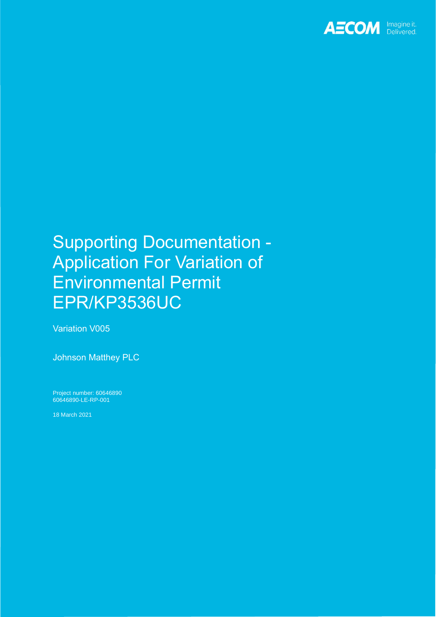

# Supporting Documentation - Application For Variation of Environmental Permit EPR/KP3536UC

Variation V005

Johnson Matthey PLC

Project number: 60646890 60646890-LE-RP-001

18 March 2021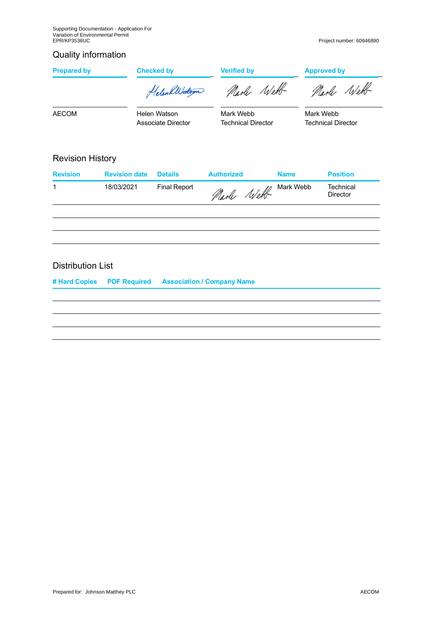## Quality information

| <b>Prepared by</b>                         |                      | <b>Checked by</b><br>Helen alberton | <b>Verified by</b><br>Narle Webb |             | <b>Approved by</b><br>Marle Well       |  |
|--------------------------------------------|----------------------|-------------------------------------|----------------------------------|-------------|----------------------------------------|--|
| <b>AECOM</b>                               |                      | Helen Watson<br>Associate Director  | Mark Webb<br>Technical Director  |             | Mark Webb<br><b>Technical Director</b> |  |
| <b>Revision History</b><br><b>Revision</b> | <b>Revision date</b> | <b>Details</b>                      | <b>Authorized</b>                | <b>Name</b> | <b>Position</b>                        |  |
| 1                                          | 18/03/2021           | <b>Final Report</b>                 | Marle Well                       | Mark Webb   | Technical<br>Director                  |  |
|                                            |                      |                                     |                                  |             |                                        |  |

## Distribution List

**# Hard Copies PDF Required Association / Company Name**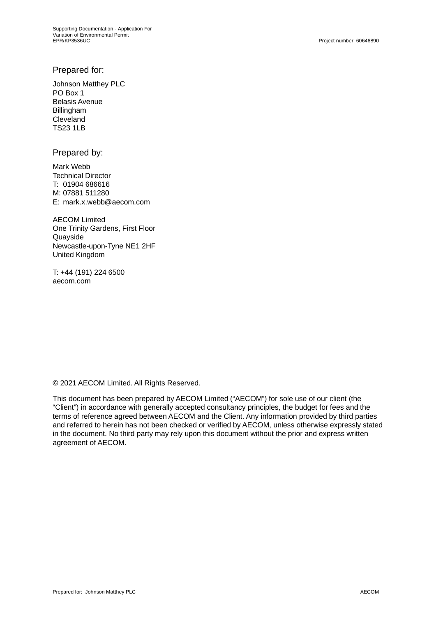## Prepared for:

Johnson Matthey PLC PO Box 1 Belasis Avenue Billingham Cleveland TS23 1LB

Prepared by:

Mark Webb Technical Director T: 01904 686616 M: 07881 511280 E: mark.x.webb@aecom.com

AECOM Limited One Trinity Gardens, First Floor **Quavside** Newcastle-upon-Tyne NE1 2HF United Kingdom

T: +44 (191) 224 6500 aecom.com

© 2021 AECOM Limited. All Rights Reserved.

This document has been prepared by AECOM Limited ("AECOM") for sole use of our client (the "Client") in accordance with generally accepted consultancy principles, the budget for fees and the terms of reference agreed between AECOM and the Client. Any information provided by third parties and referred to herein has not been checked or verified by AECOM, unless otherwise expressly stated in the document. No third party may rely upon this document without the prior and express written agreement of AECOM.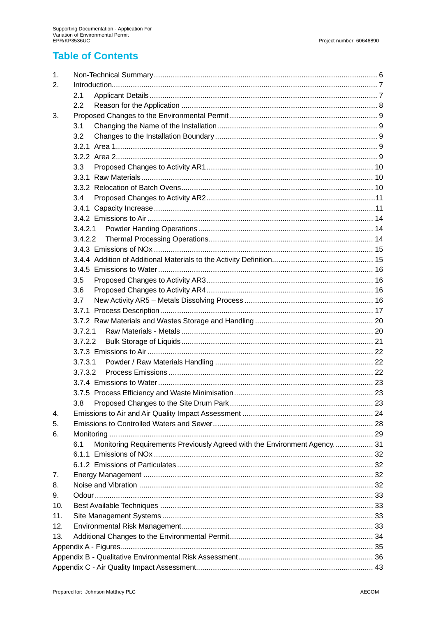## **Table of Contents**

| 1.  |                                                                                 |  |
|-----|---------------------------------------------------------------------------------|--|
| 2.  |                                                                                 |  |
|     | 2.1                                                                             |  |
|     | 2.2                                                                             |  |
| 3.  |                                                                                 |  |
|     | 3.1                                                                             |  |
|     | 3.2                                                                             |  |
|     |                                                                                 |  |
|     |                                                                                 |  |
|     | 3.3                                                                             |  |
|     |                                                                                 |  |
|     |                                                                                 |  |
|     | 3.4                                                                             |  |
|     |                                                                                 |  |
|     |                                                                                 |  |
|     | 3.4.2.1                                                                         |  |
|     | 3.4.2.2                                                                         |  |
|     |                                                                                 |  |
|     |                                                                                 |  |
|     |                                                                                 |  |
|     |                                                                                 |  |
|     | 3.5                                                                             |  |
|     | 3.6                                                                             |  |
|     | 3.7                                                                             |  |
|     |                                                                                 |  |
|     |                                                                                 |  |
|     | 3.7.2.1                                                                         |  |
|     | 3.7.2.2                                                                         |  |
|     |                                                                                 |  |
|     | 3.7.3.1                                                                         |  |
|     | 3.7.3.2                                                                         |  |
|     |                                                                                 |  |
|     |                                                                                 |  |
|     | 3.8                                                                             |  |
| 4.  |                                                                                 |  |
| 5.  |                                                                                 |  |
| 6.  |                                                                                 |  |
|     | Monitoring Requirements Previously Agreed with the Environment Agency 31<br>6.1 |  |
|     |                                                                                 |  |
|     |                                                                                 |  |
| 7.  |                                                                                 |  |
| 8.  |                                                                                 |  |
| 9.  |                                                                                 |  |
| 10. |                                                                                 |  |
| 11. |                                                                                 |  |
| 12. |                                                                                 |  |
| 13. |                                                                                 |  |
|     |                                                                                 |  |
|     |                                                                                 |  |
|     |                                                                                 |  |
|     |                                                                                 |  |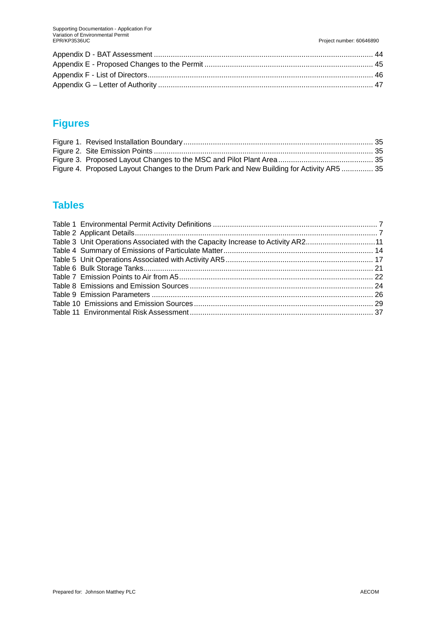## **Figures**

| Figure 4. Proposed Layout Changes to the Drum Park and New Building for Activity AR5  35 |  |
|------------------------------------------------------------------------------------------|--|

## **Tables**

| Table 3 Unit Operations Associated with the Capacity Increase to Activity AR211 |
|---------------------------------------------------------------------------------|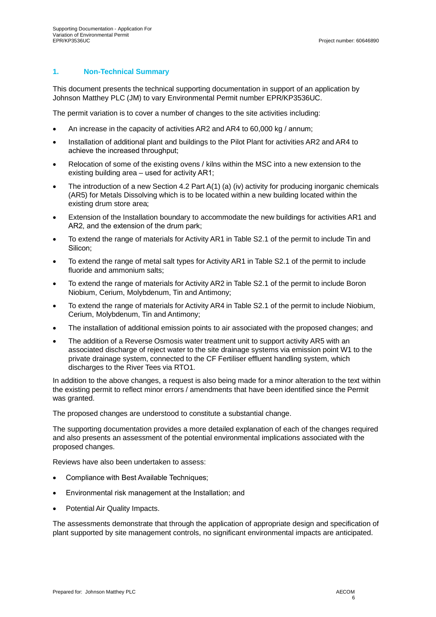#### **1. Non-Technical Summary**

This document presents the technical supporting documentation in support of an application by Johnson Matthey PLC (JM) to vary Environmental Permit number EPR/KP3536UC.

The permit variation is to cover a number of changes to the site activities including:

- An increase in the capacity of activities AR2 and AR4 to 60,000 kg / annum;
- · Installation of additional plant and buildings to the Pilot Plant for activities AR2 and AR4 to achieve the increased throughput;
- Relocation of some of the existing ovens / kilns within the MSC into a new extension to the existing building area – used for activity AR1;
- The introduction of a new Section 4.2 Part A(1) (a) (iv) activity for producing inorganic chemicals (AR5) for Metals Dissolving which is to be located within a new building located within the existing drum store area;
- · Extension of the Installation boundary to accommodate the new buildings for activities AR1 and AR2, and the extension of the drum park;
- To extend the range of materials for Activity AR1 in Table S2.1 of the permit to include Tin and Silicon;
- · To extend the range of metal salt types for Activity AR1 in Table S2.1 of the permit to include fluoride and ammonium salts;
- · To extend the range of materials for Activity AR2 in Table S2.1 of the permit to include Boron Niobium, Cerium, Molybdenum, Tin and Antimony;
- · To extend the range of materials for Activity AR4 in Table S2.1 of the permit to include Niobium, Cerium, Molybdenum, Tin and Antimony;
- The installation of additional emission points to air associated with the proposed changes; and
- The addition of a Reverse Osmosis water treatment unit to support activity AR5 with an associated discharge of reject water to the site drainage systems via emission point W1 to the private drainage system, connected to the CF Fertiliser effluent handling system, which discharges to the River Tees via RTO1.

In addition to the above changes, a request is also being made for a minor alteration to the text within the existing permit to reflect minor errors / amendments that have been identified since the Permit was granted.

The proposed changes are understood to constitute a substantial change.

The supporting documentation provides a more detailed explanation of each of the changes required and also presents an assessment of the potential environmental implications associated with the proposed changes.

Reviews have also been undertaken to assess:

- · Compliance with Best Available Techniques;
- Environmental risk management at the Installation; and
- Potential Air Quality Impacts.

The assessments demonstrate that through the application of appropriate design and specification of plant supported by site management controls, no significant environmental impacts are anticipated.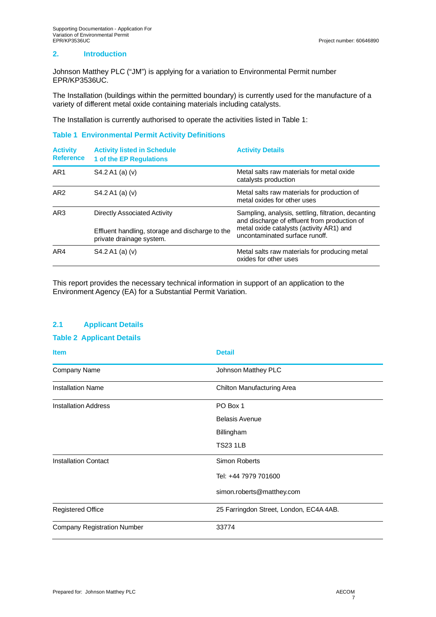#### **2. Introduction**

Johnson Matthey PLC ("JM") is applying for a variation to Environmental Permit number EPR/KP3536UC.

The Installation (buildings within the permitted boundary) is currently used for the manufacture of a variety of different metal oxide containing materials including catalysts.

The Installation is currently authorised to operate the activities listed in Table 1:

#### **Table 1 Environmental Permit Activity Definitions**

| <b>Activity</b><br><b>Reference</b> | <b>Activity listed in Schedule</b><br>1 of the EP Regulations                                               | <b>Activity Details</b>                                                                                                                                                           |
|-------------------------------------|-------------------------------------------------------------------------------------------------------------|-----------------------------------------------------------------------------------------------------------------------------------------------------------------------------------|
| AR <sub>1</sub>                     | S4.2 A1 (a) (v)                                                                                             | Metal salts raw materials for metal oxide<br>catalysts production                                                                                                                 |
| AR <sub>2</sub>                     | S4.2 A1 (a) (v)                                                                                             | Metal salts raw materials for production of<br>metal oxides for other uses                                                                                                        |
| AR <sub>3</sub>                     | Directly Associated Activity<br>Effluent handling, storage and discharge to the<br>private drainage system. | Sampling, analysis, settling, filtration, decanting<br>and discharge of effluent from production of<br>metal oxide catalysts (activity AR1) and<br>uncontaminated surface runoff. |
| AR4                                 | $S4.2 A1$ (a) (v)                                                                                           | Metal salts raw materials for producing metal<br>oxides for other uses                                                                                                            |

This report provides the necessary technical information in support of an application to the Environment Agency (EA) for a Substantial Permit Variation.

#### **2.1 Applicant Details**

#### **Table 2 Applicant Details**

| <b>Item</b>                        | <b>Detail</b>                           |
|------------------------------------|-----------------------------------------|
| Company Name                       | Johnson Matthey PLC                     |
| <b>Installation Name</b>           | Chilton Manufacturing Area              |
| <b>Installation Address</b>        | PO Box 1                                |
|                                    | <b>Belasis Avenue</b>                   |
|                                    | Billingham                              |
|                                    | <b>TS23 1LB</b>                         |
| <b>Installation Contact</b>        | Simon Roberts                           |
|                                    | Tel: +44 7979 701600                    |
|                                    | simon.roberts@matthey.com               |
| <b>Registered Office</b>           | 25 Farringdon Street, London, EC4A 4AB. |
| <b>Company Registration Number</b> | 33774                                   |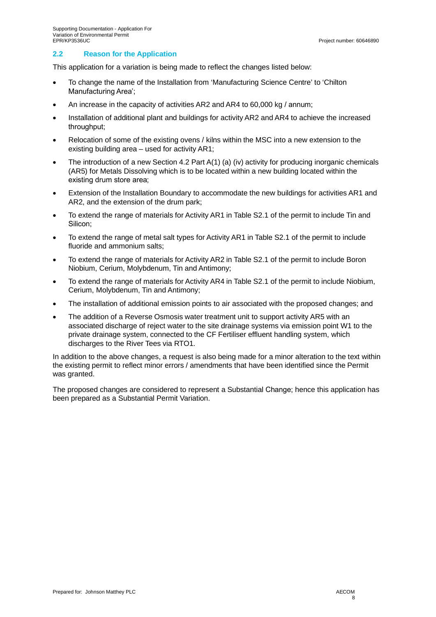#### **2.2 Reason for the Application**

This application for a variation is being made to reflect the changes listed below:

- · To change the name of the Installation from 'Manufacturing Science Centre' to 'Chilton Manufacturing Area';
- An increase in the capacity of activities AR2 and AR4 to 60,000 kg / annum;
- · Installation of additional plant and buildings for activity AR2 and AR4 to achieve the increased throughput;
- Relocation of some of the existing ovens / kilns within the MSC into a new extension to the existing building area – used for activity AR1;
- The introduction of a new Section 4.2 Part A(1) (a) (iv) activity for producing inorganic chemicals (AR5) for Metals Dissolving which is to be located within a new building located within the existing drum store area;
- Extension of the Installation Boundary to accommodate the new buildings for activities AR1 and AR2, and the extension of the drum park;
- · To extend the range of materials for Activity AR1 in Table S2.1 of the permit to include Tin and Silicon;
- · To extend the range of metal salt types for Activity AR1 in Table S2.1 of the permit to include fluoride and ammonium salts;
- · To extend the range of materials for Activity AR2 in Table S2.1 of the permit to include Boron Niobium, Cerium, Molybdenum, Tin and Antimony;
- To extend the range of materials for Activity AR4 in Table S2.1 of the permit to include Niobium, Cerium, Molybdenum, Tin and Antimony;
- · The installation of additional emission points to air associated with the proposed changes; and
- The addition of a Reverse Osmosis water treatment unit to support activity AR5 with an associated discharge of reject water to the site drainage systems via emission point W1 to the private drainage system, connected to the CF Fertiliser effluent handling system, which discharges to the River Tees via RTO1.

In addition to the above changes, a request is also being made for a minor alteration to the text within the existing permit to reflect minor errors / amendments that have been identified since the Permit was granted.

The proposed changes are considered to represent a Substantial Change; hence this application has been prepared as a Substantial Permit Variation.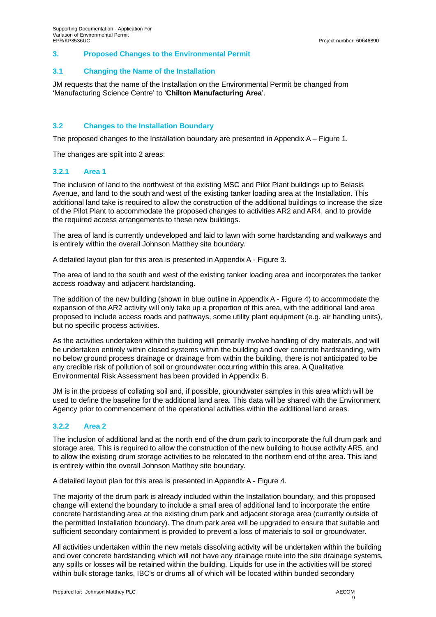#### **3. Proposed Changes to the Environmental Permit**

#### **3.1 Changing the Name of the Installation**

JM requests that the name of the Installation on the Environmental Permit be changed from 'Manufacturing Science Centre' to '**Chilton Manufacturing Area**'.

#### **3.2 Changes to the Installation Boundary**

The proposed changes to the Installation boundary are presented in Appendix  $A -$  Figure 1.

The changes are spilt into 2 areas:

#### **3.2.1 Area 1**

The inclusion of land to the northwest of the existing MSC and Pilot Plant buildings up to Belasis Avenue, and land to the south and west of the existing tanker loading area at the Installation. This additional land take is required to allow the construction of the additional buildings to increase the size of the Pilot Plant to accommodate the proposed changes to activities AR2 and AR4, and to provide the required access arrangements to these new buildings.

The area of land is currently undeveloped and laid to lawn with some hardstanding and walkways and is entirely within the overall Johnson Matthey site boundary.

A detailed layout plan for this area is presented in Appendix A - Figure 3.

The area of land to the south and west of the existing tanker loading area and incorporates the tanker access roadway and adjacent hardstanding.

The addition of the new building (shown in blue outline in Appendix A - Figure 4) to accommodate the expansion of the AR2 activity will only take up a proportion of this area, with the additional land area proposed to include access roads and pathways, some utility plant equipment (e.g. air handling units), but no specific process activities.

As the activities undertaken within the building will primarily involve handling of dry materials, and will be undertaken entirely within closed systems within the building and over concrete hardstanding, with no below ground process drainage or drainage from within the building, there is not anticipated to be any credible risk of pollution of soil or groundwater occurring within this area. A Qualitative Environmental Risk Assessment has been provided in Appendix B.

JM is in the process of collating soil and, if possible, groundwater samples in this area which will be used to define the baseline for the additional land area. This data will be shared with the Environment Agency prior to commencement of the operational activities within the additional land areas.

#### **3.2.2 Area 2**

The inclusion of additional land at the north end of the drum park to incorporate the full drum park and storage area. This is required to allow the construction of the new building to house activity AR5, and to allow the existing drum storage activities to be relocated to the northern end of the area. This land is entirely within the overall Johnson Matthey site boundary.

A detailed layout plan for this area is presented in Appendix A - Figure 4.

The majority of the drum park is already included within the Installation boundary, and this proposed change will extend the boundary to include a small area of additional land to incorporate the entire concrete hardstanding area at the existing drum park and adjacent storage area (currently outside of the permitted Installation boundary). The drum park area will be upgraded to ensure that suitable and sufficient secondary containment is provided to prevent a loss of materials to soil or groundwater.

All activities undertaken within the new metals dissolving activity will be undertaken within the building and over concrete hardstanding which will not have any drainage route into the site drainage systems, any spills or losses will be retained within the building. Liquids for use in the activities will be stored within bulk storage tanks, IBC's or drums all of which will be located within bunded secondary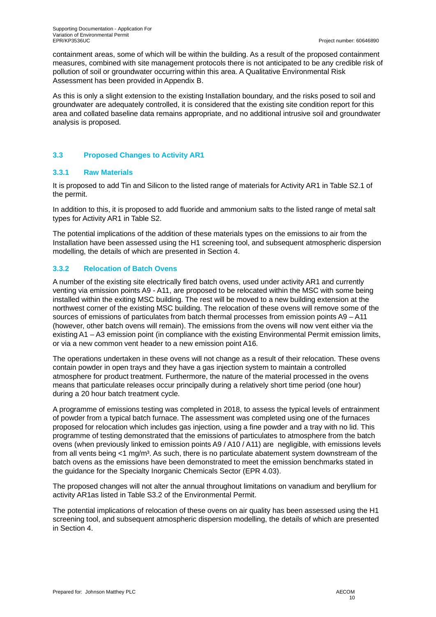containment areas, some of which will be within the building. As a result of the proposed containment measures, combined with site management protocols there is not anticipated to be any credible risk of pollution of soil or groundwater occurring within this area. A Qualitative Environmental Risk Assessment has been provided in Appendix B.

As this is only a slight extension to the existing Installation boundary, and the risks posed to soil and groundwater are adequately controlled, it is considered that the existing site condition report for this area and collated baseline data remains appropriate, and no additional intrusive soil and groundwater analysis is proposed.

#### **3.3 Proposed Changes to Activity AR1**

#### **3.3.1 Raw Materials**

It is proposed to add Tin and Silicon to the listed range of materials for Activity AR1 in Table S2.1 of the permit.

In addition to this, it is proposed to add fluoride and ammonium salts to the listed range of metal salt types for Activity AR1 in Table S2.

The potential implications of the addition of these materials types on the emissions to air from the Installation have been assessed using the H1 screening tool, and subsequent atmospheric dispersion modelling, the details of which are presented in Section 4.

## **3.3.2 Relocation of Batch Ovens**

A number of the existing site electrically fired batch ovens, used under activity AR1 and currently venting via emission points A9 - A11, are proposed to be relocated within the MSC with some being installed within the exiting MSC building. The rest will be moved to a new building extension at the northwest corner of the existing MSC building. The relocation of these ovens will remove some of the sources of emissions of particulates from batch thermal processes from emission points A9 – A11 (however, other batch ovens will remain). The emissions from the ovens will now vent either via the existing A1 – A3 emission point (in compliance with the existing Environmental Permit emission limits, or via a new common vent header to a new emission point A16.

The operations undertaken in these ovens will not change as a result of their relocation. These ovens contain powder in open trays and they have a gas injection system to maintain a controlled atmosphere for product treatment. Furthermore, the nature of the material processed in the ovens means that particulate releases occur principally during a relatively short time period (one hour) during a 20 hour batch treatment cycle.

A programme of emissions testing was completed in 2018, to assess the typical levels of entrainment of powder from a typical batch furnace. The assessment was completed using one of the furnaces proposed for relocation which includes gas injection, using a fine powder and a tray with no lid. This programme of testing demonstrated that the emissions of particulates to atmosphere from the batch ovens (when previously linked to emission points A9 / A10 / A11) are negligible, with emissions levels from all vents being  $\lt 1$  mg/m<sup>3</sup>. As such, there is no particulate abatement system downstream of the batch ovens as the emissions have been demonstrated to meet the emission benchmarks stated in the guidance for the Specialty Inorganic Chemicals Sector (EPR 4.03).

The proposed changes will not alter the annual throughout limitations on vanadium and beryllium for activity AR1as listed in Table S3.2 of the Environmental Permit.

The potential implications of relocation of these ovens on air quality has been assessed using the H1 screening tool, and subsequent atmospheric dispersion modelling, the details of which are presented in Section 4.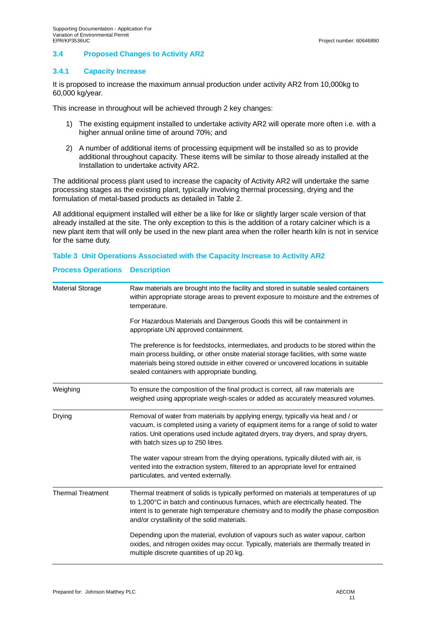#### **3.4 Proposed Changes to Activity AR2**

#### **3.4.1 Capacity Increase**

It is proposed to increase the maximum annual production under activity AR2 from 10,000kg to 60,000 kg/year.

This increase in throughout will be achieved through 2 key changes:

- 1) The existing equipment installed to undertake activity AR2 will operate more often i.e. with a higher annual online time of around 70%; and
- 2) A number of additional items of processing equipment will be installed so as to provide additional throughout capacity. These items will be similar to those already installed at the Installation to undertake activity AR2.

The additional process plant used to increase the capacity of Activity AR2 will undertake the same processing stages as the existing plant, typically involving thermal processing, drying and the formulation of metal-based products as detailed in Table 2.

All additional equipment installed will either be a like for like or slightly larger scale version of that already installed at the site. The only exception to this is the addition of a rotary calciner which is a new plant item that will only be used in the new plant area when the roller hearth kiln is not in service for the same duty.

#### **Table 3 Unit Operations Associated with the Capacity Increase to Activity AR2**

#### **Process Operations Description**

| <b>Material Storage</b>  | Raw materials are brought into the facility and stored in suitable sealed containers<br>within appropriate storage areas to prevent exposure to moisture and the extremes of<br>temperature.                                                                                                                       |
|--------------------------|--------------------------------------------------------------------------------------------------------------------------------------------------------------------------------------------------------------------------------------------------------------------------------------------------------------------|
|                          | For Hazardous Materials and Dangerous Goods this will be containment in<br>appropriate UN approved containment.                                                                                                                                                                                                    |
|                          | The preference is for feedstocks, intermediates, and products to be stored within the<br>main process building, or other onsite material storage facilities, with some waste<br>materials being stored outside in either covered or uncovered locations in suitable<br>sealed containers with appropriate bunding. |
| Weighing                 | To ensure the composition of the final product is correct, all raw materials are<br>weighed using appropriate weigh-scales or added as accurately measured volumes.                                                                                                                                                |
| Drying                   | Removal of water from materials by applying energy, typically via heat and / or<br>vacuum, is completed using a variety of equipment items for a range of solid to water<br>ratios. Unit operations used include agitated dryers, tray dryers, and spray dryers,<br>with batch sizes up to 250 litres.             |
|                          | The water vapour stream from the drying operations, typically diluted with air, is<br>vented into the extraction system, filtered to an appropriate level for entrained<br>particulates, and vented externally.                                                                                                    |
| <b>Thermal Treatment</b> | Thermal treatment of solids is typically performed on materials at temperatures of up<br>to 1,200°C in batch and continuous furnaces, which are electrically heated. The<br>intent is to generate high temperature chemistry and to modify the phase composition<br>and/or crystallinity of the solid materials.   |
|                          | Depending upon the material, evolution of vapours such as water vapour, carbon<br>oxides, and nitrogen oxides may occur. Typically, materials are thermally treated in<br>multiple discrete quantities of up 20 kg.                                                                                                |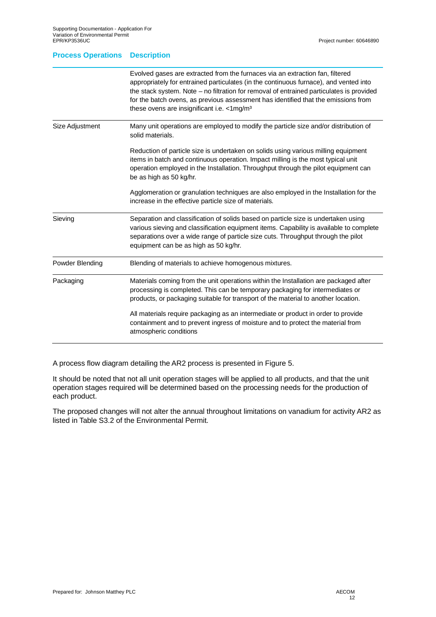#### **Process Operations Description**

|                 | Evolved gases are extracted from the furnaces via an extraction fan, filtered<br>appropriately for entrained particulates (in the continuous furnace), and vented into<br>the stack system. Note - no filtration for removal of entrained particulates is provided<br>for the batch ovens, as previous assessment has identified that the emissions from<br>these ovens are insignificant i.e. <1mg/m <sup>3</sup> |
|-----------------|--------------------------------------------------------------------------------------------------------------------------------------------------------------------------------------------------------------------------------------------------------------------------------------------------------------------------------------------------------------------------------------------------------------------|
| Size Adjustment | Many unit operations are employed to modify the particle size and/or distribution of<br>solid materials.                                                                                                                                                                                                                                                                                                           |
|                 | Reduction of particle size is undertaken on solids using various milling equipment<br>items in batch and continuous operation. Impact milling is the most typical unit<br>operation employed in the Installation. Throughput through the pilot equipment can<br>be as high as 50 kg/hr.                                                                                                                            |
|                 | Agglomeration or granulation techniques are also employed in the Installation for the<br>increase in the effective particle size of materials.                                                                                                                                                                                                                                                                     |
| Sieving         | Separation and classification of solids based on particle size is undertaken using<br>various sieving and classification equipment items. Capability is available to complete<br>separations over a wide range of particle size cuts. Throughput through the pilot<br>equipment can be as high as 50 kg/hr.                                                                                                        |
| Powder Blending | Blending of materials to achieve homogenous mixtures.                                                                                                                                                                                                                                                                                                                                                              |
| Packaging       | Materials coming from the unit operations within the Installation are packaged after<br>processing is completed. This can be temporary packaging for intermediates or<br>products, or packaging suitable for transport of the material to another location.                                                                                                                                                        |
|                 | All materials require packaging as an intermediate or product in order to provide<br>containment and to prevent ingress of moisture and to protect the material from<br>atmospheric conditions                                                                                                                                                                                                                     |

A process flow diagram detailing the AR2 process is presented in Figure 5.

It should be noted that not all unit operation stages will be applied to all products, and that the unit operation stages required will be determined based on the processing needs for the production of each product.

The proposed changes will not alter the annual throughout limitations on vanadium for activity AR2 as listed in Table S3.2 of the Environmental Permit.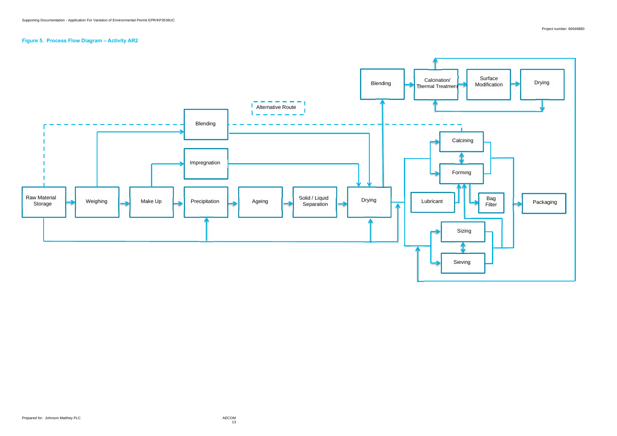## **Figure 5. Process Flow Diagram – Activity AR2**

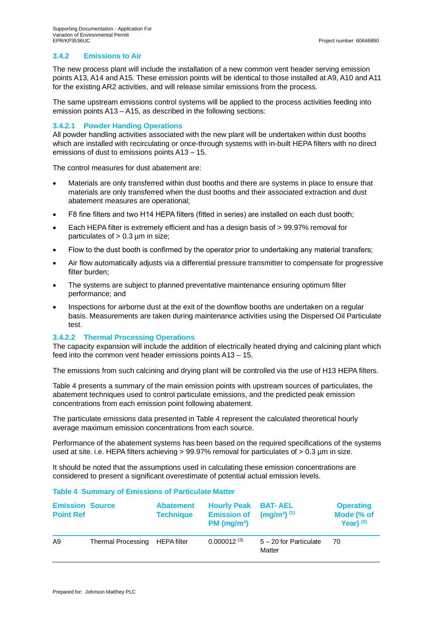### **3.4.2 Emissions to Air**

The new process plant will include the installation of a new common vent header serving emission points A13, A14 and A15. These emission points will be identical to those installed at A9, A10 and A11 for the existing AR2 activities, and will release similar emissions from the process.

The same upstream emissions control systems will be applied to the process activities feeding into emission points A13 – A15, as described in the following sections:

#### **3.4.2.1 Powder Handing Operations**

All powder handling activities associated with the new plant will be undertaken within dust booths which are installed with recirculating or once-through systems with in-built HEPA filters with no direct emissions of dust to emissions points A13 – 15.

The control measures for dust abatement are:

- · Materials are only transferred within dust booths and there are systems in place to ensure that materials are only transferred when the dust booths and their associated extraction and dust abatement measures are operational;
- F8 fine filters and two H14 HEPA filters (fitted in series) are installed on each dust booth;
- · Each HEPA filter is extremely efficient and has a design basis of > 99.97% removal for particulates of  $> 0.3$  µm in size;
- Flow to the dust booth is confirmed by the operator prior to undertaking any material transfers;
- · Air flow automatically adjusts via a differential pressure transmitter to compensate for progressive filter burden;
- The systems are subject to planned preventative maintenance ensuring optimum filter performance; and
- · Inspections for airborne dust at the exit of the downflow booths are undertaken on a regular basis. Measurements are taken during maintenance activities using the Dispersed Oil Particulate test.

#### **3.4.2.2 Thermal Processing Operations**

The capacity expansion will include the addition of electrically heated drying and calcining plant which feed into the common vent header emissions points A13 – 15.

The emissions from such calcining and drying plant will be controlled via the use of H13 HEPA filters.

Table 4 presents a summary of the main emission points with upstream sources of particulates, the abatement techniques used to control particulate emissions, and the predicted peak emission concentrations from each emission point following abatement.

The particulate emissions data presented in Table 4 represent the calculated theoretical hourly average maximum emission concentrations from each source.

Performance of the abatement systems has been based on the required specifications of the systems used at site. i.e. HEPA filters achieving > 99.97% removal for particulates of > 0.3 µm in size.

It should be noted that the assumptions used in calculating these emission concentrations are considered to present a significant overestimate of potential actual emission levels.

#### **Table 4 Summary of Emissions of Particulate Matter**

| <b>Emission Source</b><br><b>Point Ref</b> |                                | <b>Abatement</b><br><b>Technique</b> | <b>Hourly Peak BAT-AEL</b><br><b>Emission of</b><br>PM (mg/m <sup>3</sup> ) | $(mg/m^3)$ (1)                     | <b>Operating</b><br>Mode (% of<br>Year) $(2)$ |
|--------------------------------------------|--------------------------------|--------------------------------------|-----------------------------------------------------------------------------|------------------------------------|-----------------------------------------------|
| A9                                         | Thermal Processing HEPA filter |                                      | $0.000012^{(3)}$                                                            | $5 - 20$ for Particulate<br>Matter | 70.                                           |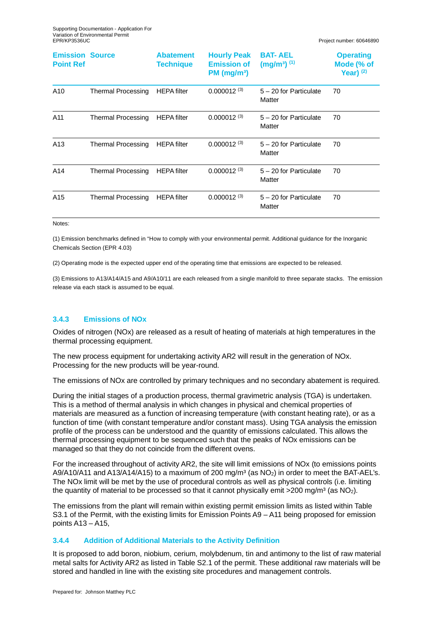| <b>Emission Source</b><br><b>Point Ref</b> |                           | <b>Abatement</b><br><b>Technique</b> | <b>Hourly Peak</b><br><b>Emission of</b><br>PM (mg/m <sup>3</sup> ) | <b>BAT-AEL</b><br>$(mg/m^3)$ <sup>(1)</sup> | <b>Operating</b><br>Mode (% of<br>Year) $(2)$ |
|--------------------------------------------|---------------------------|--------------------------------------|---------------------------------------------------------------------|---------------------------------------------|-----------------------------------------------|
| A10                                        | <b>Thermal Processing</b> | <b>HEPA</b> filter                   | $0.000012^{(3)}$                                                    | 5 - 20 for Particulate<br>Matter            | 70                                            |
| A11                                        | Thermal Processing        | <b>HEPA</b> filter                   | $0.000012^{(3)}$                                                    | 5 - 20 for Particulate<br>Matter            | 70                                            |
| A <sub>13</sub>                            | Thermal Processing        | <b>HEPA</b> filter                   | $0.000012^{(3)}$                                                    | 5 - 20 for Particulate<br>Matter            | 70                                            |
| A14                                        | <b>Thermal Processing</b> | <b>HEPA</b> filter                   | $0.000012^{(3)}$                                                    | 5 - 20 for Particulate<br>Matter            | 70                                            |
| A15                                        | <b>Thermal Processing</b> | <b>HEPA</b> filter                   | $0.000012^{(3)}$                                                    | $5 - 20$ for Particulate<br>Matter          | 70                                            |
| Notes.                                     |                           |                                      |                                                                     |                                             |                                               |

(1) Emission benchmarks defined in "How to comply with your environmental permit. Additional guidance for the Inorganic Chemicals Section (EPR 4.03)

(2) Operating mode is the expected upper end of the operating time that emissions are expected to be released.

(3) Emissions to A13/A14/A15 and A9/A10/11 are each released from a single manifold to three separate stacks. The emission release via each stack is assumed to be equal.

#### **3.4.3 Emissions of NOx**

Oxides of nitrogen (NOx) are released as a result of heating of materials at high temperatures in the thermal processing equipment.

The new process equipment for undertaking activity AR2 will result in the generation of NOx. Processing for the new products will be year-round.

The emissions of NOx are controlled by primary techniques and no secondary abatement is required.

During the initial stages of a production process, thermal gravimetric analysis (TGA) is undertaken. This is a method of thermal analysis in which changes in physical and chemical properties of materials are measured as a function of increasing temperature (with constant heating rate), or as a function of time (with constant temperature and/or constant mass). Using TGA analysis the emission profile of the process can be understood and the quantity of emissions calculated. This allows the thermal processing equipment to be sequenced such that the peaks of NOx emissions can be managed so that they do not coincide from the different ovens.

For the increased throughout of activity AR2, the site will limit emissions of NOx (to emissions points A9/A10/A11 and A13/A14/A15) to a maximum of 200 mg/m<sup>3</sup> (as  $NO<sub>2</sub>$ ) in order to meet the BAT-AEL's. The NOx limit will be met by the use of procedural controls as well as physical controls (i.e. limiting the quantity of material to be processed so that it cannot physically emit  $>$ 200 mg/m<sup>3</sup> (as NO<sub>2</sub>).

The emissions from the plant will remain within existing permit emission limits as listed within Table S3.1 of the Permit, with the existing limits for Emission Points A9 – A11 being proposed for emission points A13 – A15,

#### **3.4.4 Addition of Additional Materials to the Activity Definition**

It is proposed to add boron, niobium, cerium, molybdenum, tin and antimony to the list of raw material metal salts for Activity AR2 as listed in Table S2.1 of the permit. These additional raw materials will be stored and handled in line with the existing site procedures and management controls.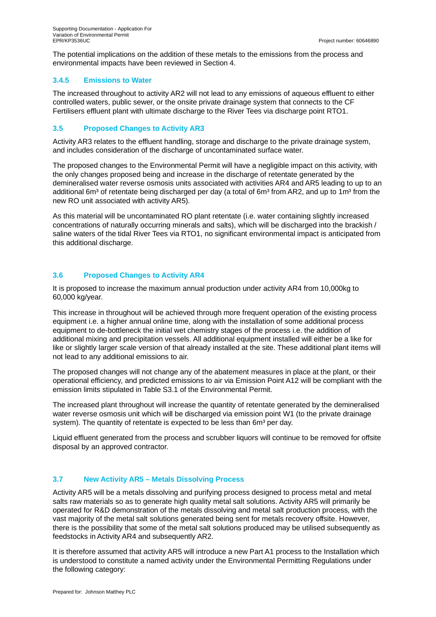The potential implications on the addition of these metals to the emissions from the process and environmental impacts have been reviewed in Section 4.

#### **3.4.5 Emissions to Water**

The increased throughout to activity AR2 will not lead to any emissions of aqueous effluent to either controlled waters, public sewer, or the onsite private drainage system that connects to the CF Fertilisers effluent plant with ultimate discharge to the River Tees via discharge point RTO1.

### **3.5 Proposed Changes to Activity AR3**

Activity AR3 relates to the effluent handling, storage and discharge to the private drainage system, and includes consideration of the discharge of uncontaminated surface water.

The proposed changes to the Environmental Permit will have a negligible impact on this activity, with the only changes proposed being and increase in the discharge of retentate generated by the demineralised water reverse osmosis units associated with activities AR4 and AR5 leading to up to an additional 6m<sup>3</sup> of retentate being discharged per day (a total of 6m<sup>3</sup> from AR2, and up to 1m<sup>3</sup> from the new RO unit associated with activity AR5).

As this material will be uncontaminated RO plant retentate (i.e. water containing slightly increased concentrations of naturally occurring minerals and salts), which will be discharged into the brackish / saline waters of the tidal River Tees via RTO1, no significant environmental impact is anticipated from this additional discharge.

## **3.6 Proposed Changes to Activity AR4**

It is proposed to increase the maximum annual production under activity AR4 from 10,000kg to 60,000 kg/year.

This increase in throughout will be achieved through more frequent operation of the existing process equipment i.e. a higher annual online time, along with the installation of some additional process equipment to de-bottleneck the initial wet chemistry stages of the process i.e. the addition of additional mixing and precipitation vessels. All additional equipment installed will either be a like for like or slightly larger scale version of that already installed at the site. These additional plant items will not lead to any additional emissions to air.

The proposed changes will not change any of the abatement measures in place at the plant, or their operational efficiency, and predicted emissions to air via Emission Point A12 will be compliant with the emission limits stipulated in Table S3.1 of the Environmental Permit.

The increased plant throughout will increase the quantity of retentate generated by the demineralised water reverse osmosis unit which will be discharged via emission point W1 (to the private drainage system). The quantity of retentate is expected to be less than 6m<sup>3</sup> per day.

Liquid effluent generated from the process and scrubber liquors will continue to be removed for offsite disposal by an approved contractor.

## **3.7 New Activity AR5 – Metals Dissolving Process**

Activity AR5 will be a metals dissolving and purifying process designed to process metal and metal salts raw materials so as to generate high quality metal salt solutions. Activity AR5 will primarily be operated for R&D demonstration of the metals dissolving and metal salt production process, with the vast majority of the metal salt solutions generated being sent for metals recovery offsite. However, there is the possibility that some of the metal salt solutions produced may be utilised subsequently as feedstocks in Activity AR4 and subsequently AR2.

It is therefore assumed that activity AR5 will introduce a new Part A1 process to the Installation which is understood to constitute a named activity under the Environmental Permitting Regulations under the following category: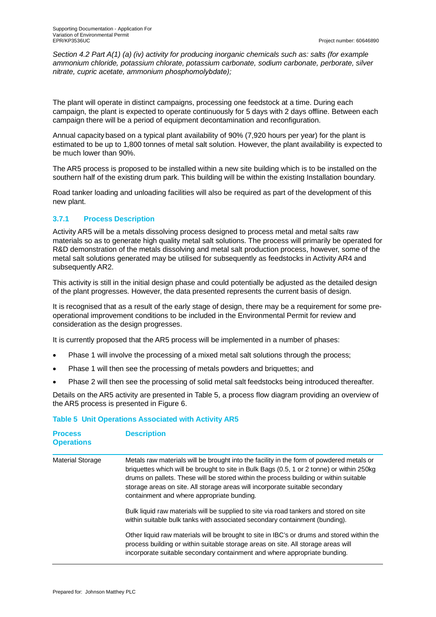*Section 4.2 Part A(1) (a) (iv) activity for producing inorganic chemicals such as: salts (for example ammonium chloride, potassium chlorate, potassium carbonate, sodium carbonate, perborate, silver nitrate, cupric acetate, ammonium phosphomolybdate);*

The plant will operate in distinct campaigns, processing one feedstock at a time. During each campaign, the plant is expected to operate continuously for 5 days with 2 days offline. Between each campaign there will be a period of equipment decontamination and reconfiguration.

Annual capacity based on a typical plant availability of 90% (7,920 hours per year) for the plant is estimated to be up to 1,800 tonnes of metal salt solution. However, the plant availability is expected to be much lower than 90%.

The AR5 process is proposed to be installed within a new site building which is to be installed on the southern half of the existing drum park. This building will be within the existing Installation boundary.

Road tanker loading and unloading facilities will also be required as part of the development of this new plant.

#### **3.7.1 Process Description**

Activity AR5 will be a metals dissolving process designed to process metal and metal salts raw materials so as to generate high quality metal salt solutions. The process will primarily be operated for R&D demonstration of the metals dissolving and metal salt production process, however, some of the metal salt solutions generated may be utilised for subsequently as feedstocks in Activity AR4 and subsequently AR2.

This activity is still in the initial design phase and could potentially be adjusted as the detailed design of the plant progresses. However, the data presented represents the current basis of design.

It is recognised that as a result of the early stage of design, there may be a requirement for some preoperational improvement conditions to be included in the Environmental Permit for review and consideration as the design progresses.

It is currently proposed that the AR5 process will be implemented in a number of phases:

- Phase 1 will involve the processing of a mixed metal salt solutions through the process;
- Phase 1 will then see the processing of metals powders and briquettes; and
- Phase 2 will then see the processing of solid metal salt feedstocks being introduced thereafter.

Details on the AR5 activity are presented in Table 5, a process flow diagram providing an overview of the AR5 process is presented in Figure 6.

#### **Table 5 Unit Operations Associated with Activity AR5**

| <b>Process</b><br><b>Operations</b> | <b>Description</b>                                                                                                                                                                                                                                                                                                                                                                                           |
|-------------------------------------|--------------------------------------------------------------------------------------------------------------------------------------------------------------------------------------------------------------------------------------------------------------------------------------------------------------------------------------------------------------------------------------------------------------|
| <b>Material Storage</b>             | Metals raw materials will be brought into the facility in the form of powdered metals or<br>briquettes which will be brought to site in Bulk Bags (0.5, 1 or 2 tonne) or within 250kg<br>drums on pallets. These will be stored within the process building or within suitable<br>storage areas on site. All storage areas will incorporate suitable secondary<br>containment and where appropriate bunding. |
|                                     | Bulk liquid raw materials will be supplied to site via road tankers and stored on site<br>within suitable bulk tanks with associated secondary containment (bunding).                                                                                                                                                                                                                                        |
|                                     | Other liquid raw materials will be brought to site in IBC's or drums and stored within the<br>process building or within suitable storage areas on site. All storage areas will<br>incorporate suitable secondary containment and where appropriate bunding.                                                                                                                                                 |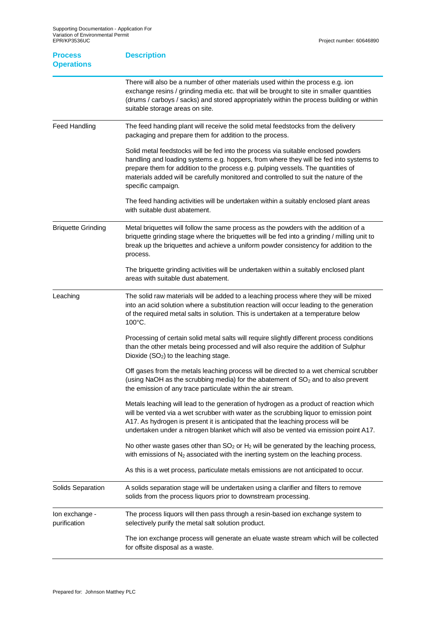| <b>Process</b><br><b>Operations</b> | <b>Description</b>                                                                                                                                                                                                                                                                                                                                                            |
|-------------------------------------|-------------------------------------------------------------------------------------------------------------------------------------------------------------------------------------------------------------------------------------------------------------------------------------------------------------------------------------------------------------------------------|
|                                     | There will also be a number of other materials used within the process e.g. ion<br>exchange resins / grinding media etc. that will be brought to site in smaller quantities<br>(drums / carboys / sacks) and stored appropriately within the process building or within<br>suitable storage areas on site.                                                                    |
| <b>Feed Handling</b>                | The feed handing plant will receive the solid metal feedstocks from the delivery<br>packaging and prepare them for addition to the process.                                                                                                                                                                                                                                   |
|                                     | Solid metal feedstocks will be fed into the process via suitable enclosed powders<br>handling and loading systems e.g. hoppers, from where they will be fed into systems to<br>prepare them for addition to the process e.g. pulping vessels. The quantities of<br>materials added will be carefully monitored and controlled to suit the nature of the<br>specific campaign. |
|                                     | The feed handing activities will be undertaken within a suitably enclosed plant areas<br>with suitable dust abatement.                                                                                                                                                                                                                                                        |
| <b>Briquette Grinding</b>           | Metal briquettes will follow the same process as the powders with the addition of a<br>briquette grinding stage where the briquettes will be fed into a grinding / milling unit to<br>break up the briquettes and achieve a uniform powder consistency for addition to the<br>process.                                                                                        |
|                                     | The briquette grinding activities will be undertaken within a suitably enclosed plant<br>areas with suitable dust abatement.                                                                                                                                                                                                                                                  |
| Leaching                            | The solid raw materials will be added to a leaching process where they will be mixed<br>into an acid solution where a substitution reaction will occur leading to the generation<br>of the required metal salts in solution. This is undertaken at a temperature below<br>100°C.                                                                                              |
|                                     | Processing of certain solid metal salts will require slightly different process conditions<br>than the other metals being processed and will also require the addition of Sulphur<br>Dioxide $(SO2)$ to the leaching stage.                                                                                                                                                   |
|                                     | Off gases from the metals leaching process will be directed to a wet chemical scrubber<br>(using NaOH as the scrubbing media) for the abatement of SO <sub>2</sub> and to also prevent<br>the emission of any trace particulate within the air stream.                                                                                                                        |
|                                     | Metals leaching will lead to the generation of hydrogen as a product of reaction which<br>will be vented via a wet scrubber with water as the scrubbing liquor to emission point<br>A17. As hydrogen is present it is anticipated that the leaching process will be<br>undertaken under a nitrogen blanket which will also be vented via emission point A17.                  |
|                                     | No other waste gases other than $SO_2$ or $H_2$ will be generated by the leaching process,<br>with emissions of $N_2$ associated with the inerting system on the leaching process.                                                                                                                                                                                            |
|                                     | As this is a wet process, particulate metals emissions are not anticipated to occur.                                                                                                                                                                                                                                                                                          |
| Solids Separation                   | A solids separation stage will be undertaken using a clarifier and filters to remove<br>solids from the process liquors prior to downstream processing.                                                                                                                                                                                                                       |
| Ion exchange -<br>purification      | The process liquors will then pass through a resin-based ion exchange system to<br>selectively purify the metal salt solution product.                                                                                                                                                                                                                                        |
|                                     | The ion exchange process will generate an eluate waste stream which will be collected<br>for offsite disposal as a waste.                                                                                                                                                                                                                                                     |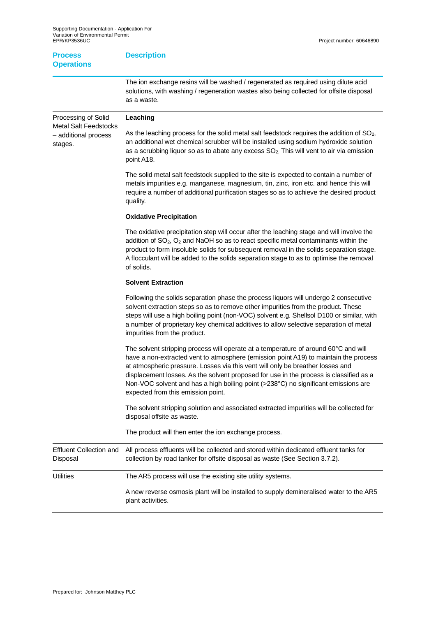**Description**

| <b>Process</b><br><b>Operations</b>                 | <b>Description</b>                                                                                                                                                                                                                                                                             |
|-----------------------------------------------------|------------------------------------------------------------------------------------------------------------------------------------------------------------------------------------------------------------------------------------------------------------------------------------------------|
|                                                     | The ion exchange resins will be washed / regenerated as required using dilute acid<br>solutions, with washing / regeneration wastes also being collected for offsite disposal<br>as a waste.                                                                                                   |
| Processing of Solid<br><b>Metal Salt Feedstocks</b> | Leaching                                                                                                                                                                                                                                                                                       |
| - additional process<br>stages.                     | As the leaching process for the solid metal salt feedstock requires the addition of $SO2$<br>an additional wet chemical scrubber will be installed using sodium hydroxide solution<br>as a scrubbing liquor so as to abate any excess $SO2$ . This will vent to air via emission<br>point A18. |

The solid metal salt feedstock supplied to the site is expected to contain a number of metals impurities e.g. manganese, magnesium, tin, zinc, iron etc. and hence this will require a number of additional purification stages so as to achieve the desired product quality.

#### **Oxidative Precipitation**

The oxidative precipitation step will occur after the leaching stage and will involve the addition of  $SO_2$ ,  $O_2$  and NaOH so as to react specific metal contaminants within the product to form insoluble solids for subsequent removal in the solids separation stage. A flocculant will be added to the solids separation stage to as to optimise the removal of solids.

#### **Solvent Extraction**

|                                            | Following the solids separation phase the process liquors will undergo 2 consecutive<br>solvent extraction steps so as to remove other impurities from the product. These<br>steps will use a high boiling point (non-VOC) solvent e.g. Shellsol D100 or similar, with<br>a number of proprietary key chemical additives to allow selective separation of metal<br>impurities from the product.                                                                                     |
|--------------------------------------------|-------------------------------------------------------------------------------------------------------------------------------------------------------------------------------------------------------------------------------------------------------------------------------------------------------------------------------------------------------------------------------------------------------------------------------------------------------------------------------------|
|                                            | The solvent stripping process will operate at a temperature of around 60°C and will<br>have a non-extracted vent to atmosphere (emission point A19) to maintain the process<br>at atmospheric pressure. Losses via this vent will only be breather losses and<br>displacement losses. As the solvent proposed for use in the process is classified as a<br>Non-VOC solvent and has a high boiling point (>238°C) no significant emissions are<br>expected from this emission point. |
|                                            | The solvent stripping solution and associated extracted impurities will be collected for<br>disposal offsite as waste.                                                                                                                                                                                                                                                                                                                                                              |
|                                            | The product will then enter the ion exchange process.                                                                                                                                                                                                                                                                                                                                                                                                                               |
| <b>Effluent Collection and</b><br>Disposal | All process effluents will be collected and stored within dedicated effluent tanks for<br>collection by road tanker for offsite disposal as waste (See Section 3.7.2).                                                                                                                                                                                                                                                                                                              |
| Utilities                                  | The AR5 process will use the existing site utility systems.                                                                                                                                                                                                                                                                                                                                                                                                                         |
|                                            | A new reverse osmosis plant will be installed to supply demineralised water to the AR5<br>plant activities.                                                                                                                                                                                                                                                                                                                                                                         |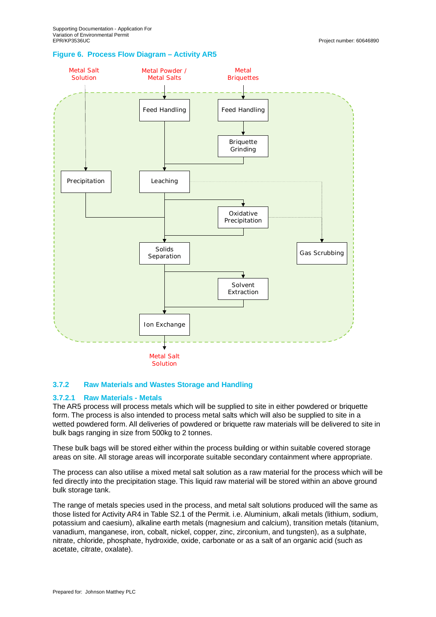#### **Figure 6. Process Flow Diagram – Activity AR5**



#### **3.7.2 Raw Materials and Wastes Storage and Handling**

#### **3.7.2.1 Raw Materials - Metals**

The AR5 process will process metals which will be supplied to site in either powdered or briquette form. The process is also intended to process metal salts which will also be supplied to site in a wetted powdered form. All deliveries of powdered or briquette raw materials will be delivered to site in bulk bags ranging in size from 500kg to 2 tonnes.

These bulk bags will be stored either within the process building or within suitable covered storage areas on site. All storage areas will incorporate suitable secondary containment where appropriate.

The process can also utilise a mixed metal salt solution as a raw material for the process which will be fed directly into the precipitation stage. This liquid raw material will be stored within an above ground bulk storage tank.

The range of metals species used in the process, and metal salt solutions produced will the same as those listed for Activity AR4 in Table S2.1 of the Permit. i.e. Aluminium, alkali metals (lithium, sodium, potassium and caesium), alkaline earth metals (magnesium and calcium), transition metals (titanium, vanadium, manganese, iron, cobalt, nickel, copper, zinc, zirconium, and tungsten), as a sulphate, nitrate, chloride, phosphate, hydroxide, oxide, carbonate or as a salt of an organic acid (such as acetate, citrate, oxalate).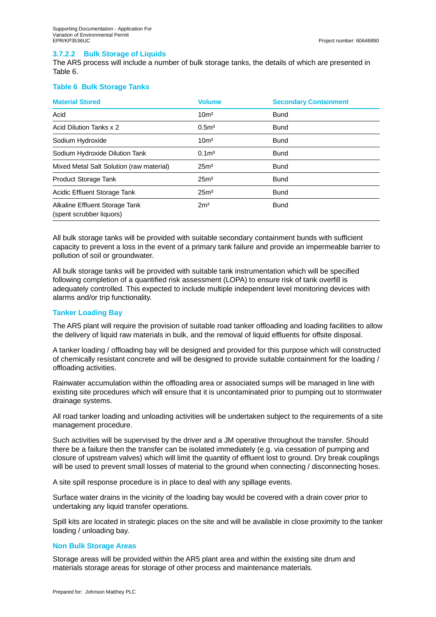### **3.7.2.2 Bulk Storage of Liquids**

The AR5 process will include a number of bulk storage tanks, the details of which are presented in Table 6.

#### **Table 6 Bulk Storage Tanks**

| <b>Material Stored</b>                                     | <b>Volume</b>     | <b>Secondary Containment</b> |
|------------------------------------------------------------|-------------------|------------------------------|
| Acid                                                       | 10 <sup>m3</sup>  | <b>Bund</b>                  |
| Acid Dilution Tanks x 2                                    | 0.5 <sup>m3</sup> | <b>Bund</b>                  |
| Sodium Hydroxide                                           | 10 <sup>m3</sup>  | <b>Bund</b>                  |
| Sodium Hydroxide Dilution Tank                             | 0.1 <sup>m3</sup> | <b>Bund</b>                  |
| Mixed Metal Salt Solution (raw material)                   | 25 <sup>m3</sup>  | <b>Bund</b>                  |
| Product Storage Tank                                       | 25 <sup>m3</sup>  | <b>Bund</b>                  |
| Acidic Effluent Storage Tank                               | 25 <sup>m3</sup>  | <b>Bund</b>                  |
| Alkaline Effluent Storage Tank<br>(spent scrubber liquors) | 2m <sup>3</sup>   | <b>Bund</b>                  |

All bulk storage tanks will be provided with suitable secondary containment bunds with sufficient capacity to prevent a loss in the event of a primary tank failure and provide an impermeable barrier to pollution of soil or groundwater.

All bulk storage tanks will be provided with suitable tank instrumentation which will be specified following completion of a quantified risk assessment (LOPA) to ensure risk of tank overfill is adequately controlled. This expected to include multiple independent level monitoring devices with alarms and/or trip functionality.

#### **Tanker Loading Bay**

The AR5 plant will require the provision of suitable road tanker offloading and loading facilities to allow the delivery of liquid raw materials in bulk, and the removal of liquid effluents for offsite disposal.

A tanker loading / offloading bay will be designed and provided for this purpose which will constructed of chemically resistant concrete and will be designed to provide suitable containment for the loading / offloading activities.

Rainwater accumulation within the offloading area or associated sumps will be managed in line with existing site procedures which will ensure that it is uncontaminated prior to pumping out to stormwater drainage systems.

All road tanker loading and unloading activities will be undertaken subject to the requirements of a site management procedure.

Such activities will be supervised by the driver and a JM operative throughout the transfer. Should there be a failure then the transfer can be isolated immediately (e.g. via cessation of pumping and closure of upstream valves) which will limit the quantity of effluent lost to ground. Dry break couplings will be used to prevent small losses of material to the ground when connecting / disconnecting hoses.

A site spill response procedure is in place to deal with any spillage events.

Surface water drains in the vicinity of the loading bay would be covered with a drain cover prior to undertaking any liquid transfer operations.

Spill kits are located in strategic places on the site and will be available in close proximity to the tanker loading / unloading bay.

#### **Non Bulk Storage Areas**

Storage areas will be provided within the AR5 plant area and within the existing site drum and materials storage areas for storage of other process and maintenance materials.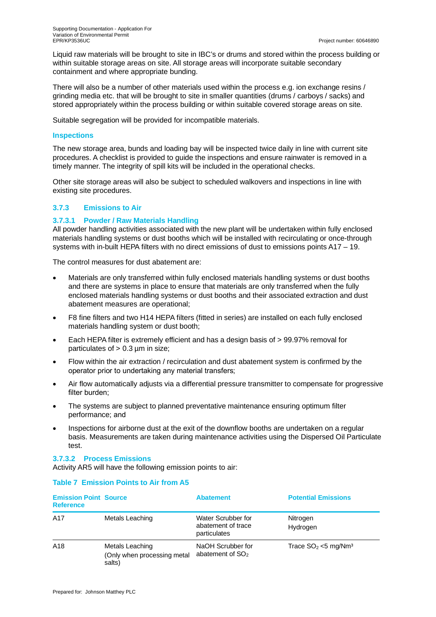Liquid raw materials will be brought to site in IBC's or drums and stored within the process building or within suitable storage areas on site. All storage areas will incorporate suitable secondary containment and where appropriate bunding.

There will also be a number of other materials used within the process e.g. ion exchange resins / grinding media etc. that will be brought to site in smaller quantities (drums / carboys / sacks) and stored appropriately within the process building or within suitable covered storage areas on site.

Suitable segregation will be provided for incompatible materials.

#### **Inspections**

The new storage area, bunds and loading bay will be inspected twice daily in line with current site procedures. A checklist is provided to guide the inspections and ensure rainwater is removed in a timely manner. The integrity of spill kits will be included in the operational checks.

Other site storage areas will also be subject to scheduled walkovers and inspections in line with existing site procedures.

#### **3.7.3 Emissions to Air**

#### **3.7.3.1 Powder / Raw Materials Handling**

All powder handling activities associated with the new plant will be undertaken within fully enclosed materials handling systems or dust booths which will be installed with recirculating or once-through systems with in-built HEPA filters with no direct emissions of dust to emissions points A17 – 19.

The control measures for dust abatement are:

- Materials are only transferred within fully enclosed materials handling systems or dust booths and there are systems in place to ensure that materials are only transferred when the fully enclosed materials handling systems or dust booths and their associated extraction and dust abatement measures are operational;
- · F8 fine filters and two H14 HEPA filters (fitted in series) are installed on each fully enclosed materials handling system or dust booth;
- · Each HEPA filter is extremely efficient and has a design basis of > 99.97% removal for particulates of  $> 0.3$  µm in size;
- · Flow within the air extraction / recirculation and dust abatement system is confirmed by the operator prior to undertaking any material transfers;
- Air flow automatically adjusts via a differential pressure transmitter to compensate for progressive filter burden;
- The systems are subject to planned preventative maintenance ensuring optimum filter performance; and
- Inspections for airborne dust at the exit of the downflow booths are undertaken on a regular basis. Measurements are taken during maintenance activities using the Dispersed Oil Particulate test.

#### **3.7.3.2 Process Emissions**

Activity AR5 will have the following emission points to air:

| <b>Emission Point Source</b><br><b>Reference</b> |                                                          | <b>Abatement</b>                                         | <b>Potential Emissions</b>         |
|--------------------------------------------------|----------------------------------------------------------|----------------------------------------------------------|------------------------------------|
| A17                                              | Metals Leaching                                          | Water Scrubber for<br>abatement of trace<br>particulates | Nitrogen<br>Hydrogen               |
| A <sub>18</sub>                                  | Metals Leaching<br>(Only when processing metal<br>salts) | NaOH Scrubber for<br>abatement of SO <sub>2</sub>        | Trace $SO2 < 5$ mg/Nm <sup>3</sup> |

#### **Table 7 Emission Points to Air from A5**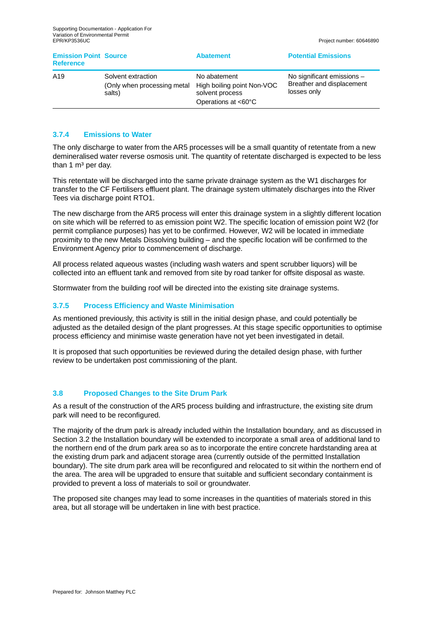| <b>Emission Point Source</b><br><b>Reference</b> |                                                              | <b>Abatement</b>                                                                     | <b>Potential Emissions</b>                                             |
|--------------------------------------------------|--------------------------------------------------------------|--------------------------------------------------------------------------------------|------------------------------------------------------------------------|
| A <sub>19</sub>                                  | Solvent extraction<br>(Only when processing metal)<br>salts) | No abatement<br>High boiling point Non-VOC<br>solvent process<br>Operations at <60°C | No significant emissions -<br>Breather and displacement<br>losses only |

#### **3.7.4 Emissions to Water**

The only discharge to water from the AR5 processes will be a small quantity of retentate from a new demineralised water reverse osmosis unit. The quantity of retentate discharged is expected to be less than 1  $m<sup>3</sup>$  per day.

This retentate will be discharged into the same private drainage system as the W1 discharges for transfer to the CF Fertilisers effluent plant. The drainage system ultimately discharges into the River Tees via discharge point RTO1.

The new discharge from the AR5 process will enter this drainage system in a slightly different location on site which will be referred to as emission point W2. The specific location of emission point W2 (for permit compliance purposes) has yet to be confirmed. However, W2 will be located in immediate proximity to the new Metals Dissolving building – and the specific location will be confirmed to the Environment Agency prior to commencement of discharge.

All process related aqueous wastes (including wash waters and spent scrubber liquors) will be collected into an effluent tank and removed from site by road tanker for offsite disposal as waste.

Stormwater from the building roof will be directed into the existing site drainage systems.

#### **3.7.5 Process Efficiency and Waste Minimisation**

As mentioned previously, this activity is still in the initial design phase, and could potentially be adjusted as the detailed design of the plant progresses. At this stage specific opportunities to optimise process efficiency and minimise waste generation have not yet been investigated in detail.

It is proposed that such opportunities be reviewed during the detailed design phase, with further review to be undertaken post commissioning of the plant.

#### **3.8 Proposed Changes to the Site Drum Park**

As a result of the construction of the AR5 process building and infrastructure, the existing site drum park will need to be reconfigured.

The majority of the drum park is already included within the Installation boundary, and as discussed in Section 3.2 the Installation boundary will be extended to incorporate a small area of additional land to the northern end of the drum park area so as to incorporate the entire concrete hardstanding area at the existing drum park and adjacent storage area (currently outside of the permitted Installation boundary). The site drum park area will be reconfigured and relocated to sit within the northern end of the area. The area will be upgraded to ensure that suitable and sufficient secondary containment is provided to prevent a loss of materials to soil or groundwater.

The proposed site changes may lead to some increases in the quantities of materials stored in this area, but all storage will be undertaken in line with best practice.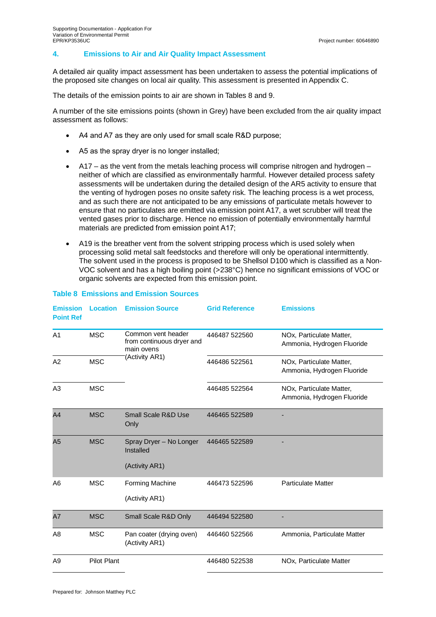#### **4. Emissions to Air and Air Quality Impact Assessment**

A detailed air quality impact assessment has been undertaken to assess the potential implications of the proposed site changes on local air quality. This assessment is presented in Appendix C.

The details of the emission points to air are shown in Tables 8 and 9.

A number of the site emissions points (shown in Grey) have been excluded from the air quality impact assessment as follows:

- A4 and A7 as they are only used for small scale R&D purpose;
- · A5 as the spray dryer is no longer installed;
- $A17 as$  the vent from the metals leaching process will comprise nitrogen and hydrogen neither of which are classified as environmentally harmful. However detailed process safety assessments will be undertaken during the detailed design of the AR5 activity to ensure that the venting of hydrogen poses no onsite safety risk. The leaching process is a wet process, and as such there are not anticipated to be any emissions of particulate metals however to ensure that no particulates are emitted via emission point A17, a wet scrubber will treat the vented gases prior to discharge. Hence no emission of potentially environmentally harmful materials are predicted from emission point A17;
- · A19 is the breather vent from the solvent stripping process which is used solely when processing solid metal salt feedstocks and therefore will only be operational intermittently. The solvent used in the process is proposed to be Shellsol D100 which is classified as a Non-VOC solvent and has a high boiling point (>238°C) hence no significant emissions of VOC or organic solvents are expected from this emission point.

| <b>Emission</b><br><b>Point Ref</b> | <b>Location</b>    | <b>Emission Source</b>                                        | <b>Grid Reference</b> | <b>Emissions</b>                                       |
|-------------------------------------|--------------------|---------------------------------------------------------------|-----------------------|--------------------------------------------------------|
| A <sub>1</sub>                      | <b>MSC</b>         | Common vent header<br>from continuous dryer and<br>main ovens | 446487 522560         | NOx, Particulate Matter,<br>Ammonia, Hydrogen Fluoride |
| A2                                  | <b>MSC</b>         | (Activity AR1)                                                | 446486 522561         | NOx, Particulate Matter,<br>Ammonia, Hydrogen Fluoride |
| A <sub>3</sub>                      | <b>MSC</b>         |                                                               | 446485 522564         | NOx, Particulate Matter,<br>Ammonia, Hydrogen Fluoride |
| A4                                  | <b>MSC</b>         | <b>Small Scale R&amp;D Use</b><br>Only                        | 446465 522589         |                                                        |
| A <sub>5</sub>                      | <b>MSC</b>         | Spray Dryer - No Longer<br>Installed<br>(Activity AR1)        | 446465 522589         |                                                        |
| A <sub>6</sub>                      | <b>MSC</b>         | Forming Machine<br>(Activity AR1)                             | 446473 522596         | <b>Particulate Matter</b>                              |
| A7                                  | <b>MSC</b>         | Small Scale R&D Only                                          | 446494 522580         |                                                        |
| A8                                  | <b>MSC</b>         | Pan coater (drying oven)<br>(Activity AR1)                    | 446460 522566         | Ammonia, Particulate Matter                            |
| A <sub>9</sub>                      | <b>Pilot Plant</b> |                                                               | 446480 522538         | NOx, Particulate Matter                                |

#### **Table 8 Emissions and Emission Sources**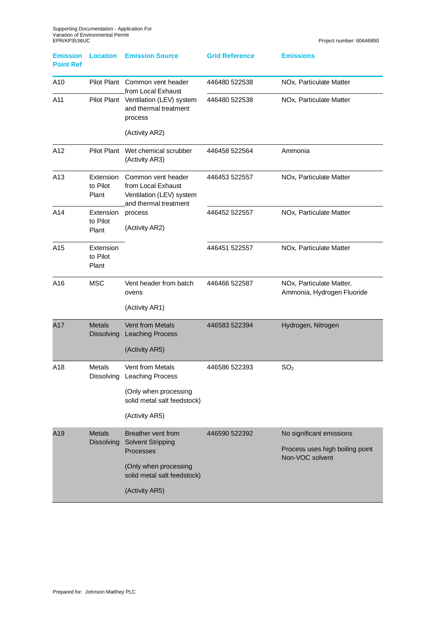| <b>Emission</b><br><b>Point Ref</b> | <b>Location</b>                    | <b>Emission Source</b>                                                                                                                       | <b>Grid Reference</b> | <b>Emissions</b>                                                               |
|-------------------------------------|------------------------------------|----------------------------------------------------------------------------------------------------------------------------------------------|-----------------------|--------------------------------------------------------------------------------|
| A10                                 |                                    | Pilot Plant Common vent header<br>from Local Exhaust                                                                                         | 446480 522538         | NOx, Particulate Matter                                                        |
| A11                                 |                                    | Pilot Plant Ventilation (LEV) system<br>and thermal treatment<br>process                                                                     | 446480 522538         | NOx, Particulate Matter                                                        |
|                                     |                                    | (Activity AR2)                                                                                                                               |                       |                                                                                |
| A12                                 |                                    | Pilot Plant Wet chemical scrubber<br>(Activity AR3)                                                                                          | 446458 522564         | Ammonia                                                                        |
| A13                                 | Extension<br>to Pilot<br>Plant     | Common vent header<br>from Local Exhaust<br>Ventilation (LEV) system<br>and thermal treatment                                                | 446453 522557         | NOx, Particulate Matter                                                        |
| A14                                 | Extension<br>to Pilot<br>Plant     | process<br>(Activity AR2)                                                                                                                    | 446452 522557         | NOx, Particulate Matter                                                        |
| A15                                 | Extension<br>to Pilot<br>Plant     |                                                                                                                                              | 446451 522557         | NOx, Particulate Matter                                                        |
| A16                                 | <b>MSC</b>                         | Vent header from batch<br>ovens<br>(Activity AR1)                                                                                            | 446466 522587         | NOx, Particulate Matter,<br>Ammonia, Hydrogen Fluoride                         |
| A17                                 | <b>Metals</b><br>Dissolving        | <b>Vent from Metals</b><br><b>Leaching Process</b><br>(Activity AR5)                                                                         | 446583 522394         | Hydrogen, Nitrogen                                                             |
| A18                                 | <b>Metals</b><br>Dissolving        | Vent from Metals<br><b>Leaching Process</b><br>(Only when processing<br>solid metal salt feedstock)<br>(Activity AR5)                        | 446586 522393         | SO <sub>2</sub>                                                                |
| A19                                 | <b>Metals</b><br><b>Dissolving</b> | Breather vent from<br><b>Solvent Stripping</b><br><b>Processes</b><br>(Only when processing<br>solid metal salt feedstock)<br>(Activity AR5) | 446590 522392         | No significant emissions<br>Process uses high boiling point<br>Non-VOC solvent |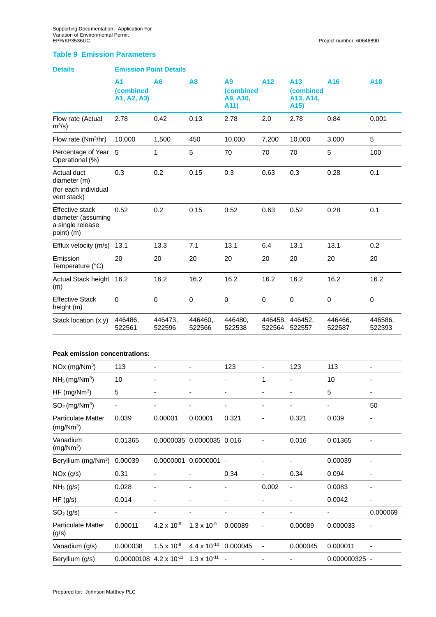#### **Table 9 Emission Parameters**

| <b>Details</b>                                                          | <b>Emission Point Details</b>        |                              |                                  |                                     |                              |                                                    |                              |                   |
|-------------------------------------------------------------------------|--------------------------------------|------------------------------|----------------------------------|-------------------------------------|------------------------------|----------------------------------------------------|------------------------------|-------------------|
|                                                                         | A1<br>(combined<br>A1, A2, A3)       | Α6                           | A <sub>8</sub>                   | Α9<br>(combined<br>A9, A10,<br>A11) | A12                          | A13<br>(combined<br>A13, A14,<br>A <sub>15</sub> ) | A <sub>16</sub>              | A18               |
| Flow rate (Actual<br>$m^3/s$ )                                          | 2.78                                 | 0.42                         | 0.13                             | 2.78                                | 2.0                          | 2.78                                               | 0.84                         | 0.001             |
| Flow rate (Nm <sup>3</sup> /hr)                                         | 10,000                               | 1,500                        | 450                              | 10,000                              | 7,200                        | 10,000                                             | 3,000                        | 5                 |
| Percentage of Year 5<br>Operational (%)                                 |                                      | 1                            | 5                                | 70                                  | 70                           | 70                                                 | 5                            | 100               |
| Actual duct<br>diameter (m)<br>(for each individual<br>vent stack)      | 0.3                                  | 0.2                          | 0.15                             | 0.3                                 | 0.63                         | 0.3                                                | 0.28                         | 0.1               |
| Effective stack<br>diameter (assuming<br>a single release<br>point) (m) | 0.52                                 | 0.2                          | 0.15                             | 0.52                                | 0.63                         | 0.52                                               | 0.28                         | 0.1               |
| Efflux velocity (m/s)                                                   | 13.1                                 | 13.3                         | 7.1                              | 13.1                                | 6.4                          | 13.1                                               | 13.1                         | 0.2               |
| Emission<br>Temperature (°C)                                            | 20                                   | 20                           | 20                               | 20                                  | 20                           | 20                                                 | 20                           | 20                |
| Actual Stack height 16.2<br>(m)                                         |                                      | 16.2                         | 16.2                             | 16.2                                | 16.2                         | 16.2                                               | 16.2                         | 16.2              |
| <b>Effective Stack</b><br>height (m)                                    | $\mathbf 0$                          | $\pmb{0}$                    | $\mathbf 0$                      | $\mathbf 0$                         | $\mathbf 0$                  | $\mathbf 0$                                        | 0                            | $\pmb{0}$         |
| Stack location (x,y)                                                    | 446486,<br>522561                    | 446473,<br>522596            | 446460,<br>522566                | 446480,<br>522538                   |                              | 446458, 446452,<br>522564 522557                   | 446466,<br>522587            | 446586,<br>522393 |
| Peak emission concentrations:                                           |                                      |                              |                                  |                                     |                              |                                                    |                              |                   |
| $NOx$ (mg/ $Nm^3$ )                                                     | 113                                  |                              | -                                | 123                                 | $\qquad \qquad \blacksquare$ | 123                                                | 113                          |                   |
| $NH3$ (mg/Nm <sup>3</sup> )                                             | 10                                   |                              |                                  | $\qquad \qquad \blacksquare$        | 1                            |                                                    | 10                           |                   |
| $HF$ (mg/Nm <sup>3</sup> )                                              | 5                                    |                              |                                  |                                     |                              |                                                    | 5                            |                   |
| $SO2$ (mg/Nm <sup>3</sup> )                                             |                                      |                              |                                  |                                     |                              |                                                    |                              | 50                |
| <b>Particulate Matter</b><br>(mg/Nm <sup>3</sup> )                      | 0.039                                | 0.00001                      | 0.00001                          | 0.321                               |                              | 0.321                                              | 0.039                        |                   |
| Vanadium<br>(mg/Nm <sup>3</sup> )                                       | 0.01365                              |                              | 0.0000035 0.0000035 0.016        |                                     |                              | 0.016                                              | 0.01365                      |                   |
| Beryllium (mg/Nm <sup>3</sup> )                                         | 0.00039                              |                              | 0.0000001  0.0000001  -          |                                     | $\overline{\phantom{0}}$     |                                                    | 0.00039                      |                   |
| NOx (g/s)                                                               | 0.31                                 | $\qquad \qquad \blacksquare$ |                                  | 0.34                                |                              | 0.34                                               | 0.094                        |                   |
| $NH3$ (g/s)                                                             | 0.028                                | $\frac{1}{2}$                | $\overline{\phantom{0}}$         | -                                   | 0.002                        | $\overline{\phantom{a}}$                           | 0.0083                       | $\blacksquare$    |
| HF(g/s)                                                                 | 0.014                                | $\qquad \qquad \blacksquare$ |                                  |                                     | $\blacksquare$               |                                                    | 0.0042                       |                   |
| $SO_2(g/s)$                                                             |                                      |                              |                                  |                                     |                              | $\qquad \qquad \blacksquare$                       | $\qquad \qquad \blacksquare$ | 0.000069          |
| <b>Particulate Matter</b><br>(g/s)                                      | 0.00011                              | $4.2 \times 10^{-9}$         | $1.3 \times 10^{-9}$             | 0.00089                             |                              | 0.00089                                            | 0.000033                     |                   |
| Vanadium (g/s)                                                          | 0.000038                             | $1.5 \times 10^{-9}$         | 4.4 x 10 <sup>-10</sup> 0.000045 |                                     |                              | 0.000045                                           | 0.000011                     |                   |
| Beryllium (g/s)                                                         | $0.00000108$ 4.2 x 10 <sup>-11</sup> |                              | $1.3 \times 10^{-11}$ -          |                                     |                              |                                                    | 0.000000325 -                |                   |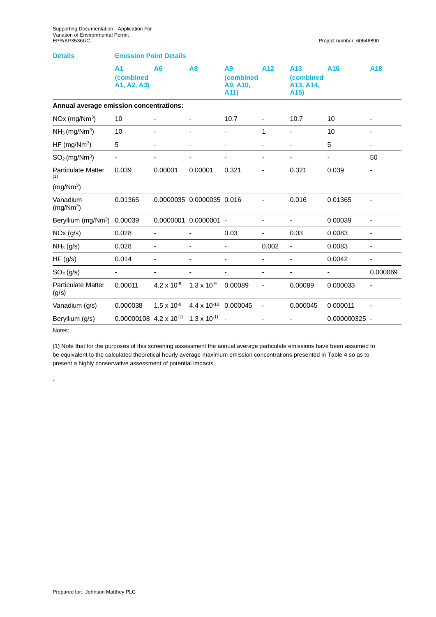| <b>Details</b>                          | <b>Emission Point Details</b>              |                          |                              |                                     |                |                                                                |                          |                          |
|-----------------------------------------|--------------------------------------------|--------------------------|------------------------------|-------------------------------------|----------------|----------------------------------------------------------------|--------------------------|--------------------------|
|                                         | A <sub>1</sub><br>(combined<br>A1, A2, A3) | A6                       | A8                           | A9<br>(combined<br>A9, A10,<br>A11) | A12            | A <sub>13</sub><br>(combined<br>A13, A14,<br>A <sub>15</sub> ) | A <sub>16</sub>          | A <sub>18</sub>          |
| Annual average emission concentrations: |                                            |                          |                              |                                     |                |                                                                |                          |                          |
| $NOx$ (mg/ $Nm^3$ )                     | 10                                         |                          | ä,                           | 10.7                                | $\overline{a}$ | 10.7                                                           | 10                       | $\overline{\phantom{0}}$ |
| $NH3$ (mg/Nm <sup>3</sup> )             | 10                                         | ٠                        | -                            | ٠                                   | 1              | $\overline{\phantom{0}}$                                       | 10                       | $\overline{\phantom{0}}$ |
| HF (mg/ $Nm^3$ )                        | 5                                          |                          |                              |                                     |                |                                                                | 5                        |                          |
| $SO2$ (mg/Nm <sup>3</sup> )             |                                            |                          | -                            | $\qquad \qquad \blacksquare$        | -              |                                                                | $\overline{\phantom{a}}$ | 50                       |
| <b>Particulate Matter</b><br>(1)        | 0.039                                      | 0.00001                  | 0.00001                      | 0.321                               |                | 0.321                                                          | 0.039                    |                          |
| (mg/Nm <sup>3</sup> )                   |                                            |                          |                              |                                     |                |                                                                |                          |                          |
| Vanadium<br>(mg/Nm <sup>3</sup> )       | 0.01365                                    |                          | 0.0000035 0.0000035 0.016    |                                     |                | 0.016                                                          | 0.01365                  |                          |
| Beryllium (mg/Nm <sup>3</sup> )         | 0.00039                                    | 0.0000001                | $0.0000001 -$                |                                     | ä,             | $\overline{\phantom{0}}$                                       | 0.00039                  | $\overline{\phantom{0}}$ |
| NOx (g/s)                               | 0.028                                      |                          |                              | 0.03                                |                | 0.03                                                           | 0.0083                   |                          |
| $NH3$ (g/s)                             | 0.028                                      | $\overline{\phantom{0}}$ | ä,                           | ä,                                  | 0.002          | $\overline{\phantom{0}}$                                       | 0.0083                   | ÷,                       |
| HF(g/s)                                 | 0.014                                      |                          |                              |                                     |                |                                                                | 0.0042                   |                          |
| $SO2$ (g/s)                             | $\overline{\phantom{a}}$                   | $\overline{\phantom{a}}$ | $\qquad \qquad \blacksquare$ | $\overline{\phantom{0}}$            | -              | $\overline{\phantom{0}}$                                       | $\overline{\phantom{a}}$ | 0.000069                 |
| <b>Particulate Matter</b><br>(g/s)      | 0.00011                                    | $4.2 \times 10^{-9}$     | $1.3 \times 10^{-9}$         | 0.00089                             |                | 0.00089                                                        | 0.000033                 |                          |
| Vanadium (g/s)                          | 0.000038                                   | $1.5 \times 10^{-9}$     | $4.4 \times 10^{-10}$        | 0.000045                            | -              | 0.000045                                                       | 0.000011                 |                          |
| Beryllium (g/s)                         | $0.00000108$ 4.2 x 10 <sup>-11</sup>       |                          | $1.3 \times 10^{-11}$ -      |                                     |                |                                                                | 0.000000325 -            |                          |

Notes:

.

(1) Note that for the purposes of this screening assessment the annual average particulate emissions have been assumed to be equivalent to the calculated theoretical hourly average maximum emission concentrations presented in Table 4 so as to present a highly conservative assessment of potential impacts.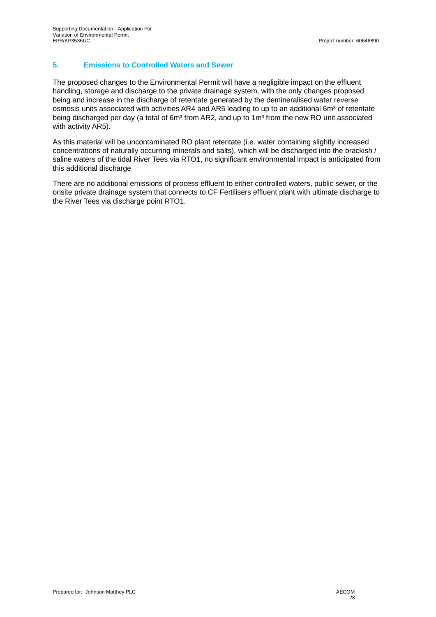## **5. Emissions to Controlled Waters and Sewer**

The proposed changes to the Environmental Permit will have a negligible impact on the effluent handling, storage and discharge to the private drainage system, with the only changes proposed being and increase in the discharge of retentate generated by the demineralised water reverse osmosis units associated with activities AR4 and AR5 leading to up to an additional 6m<sup>3</sup> of retentate being discharged per day (a total of 6m<sup>3</sup> from AR2, and up to 1m<sup>3</sup> from the new RO unit associated with activity AR5).

As this material will be uncontaminated RO plant retentate (i.e. water containing slightly increased concentrations of naturally occurring minerals and salts), which will be discharged into the brackish / saline waters of the tidal River Tees via RTO1, no significant environmental impact is anticipated from this additional discharge

There are no additional emissions of process effluent to either controlled waters, public sewer, or the onsite private drainage system that connects to CF Fertilisers effluent plant with ultimate discharge to the River Tees via discharge point RTO1.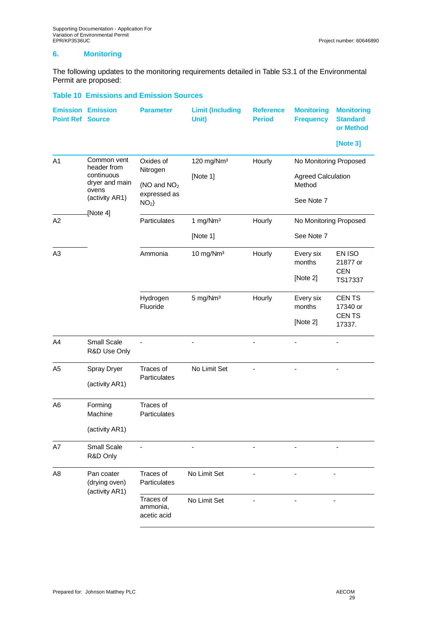#### **6. Monitoring**

The following updates to the monitoring requirements detailed in Table S3.1 of the Environmental Permit are proposed:

#### **Table 10 Emissions and Emission Sources**

| <b>Point Ref Source</b> | <b>Emission Emission</b>              | <b>Parameter</b>                     | <b>Limit (Including</b><br>Unit) | <b>Reference</b><br><b>Period</b> | <b>Monitoring</b><br><b>Frequency</b> | <b>Monitoring</b><br><b>Standard</b><br>or Method |
|-------------------------|---------------------------------------|--------------------------------------|----------------------------------|-----------------------------------|---------------------------------------|---------------------------------------------------|
|                         |                                       |                                      |                                  |                                   |                                       | [Note 3]                                          |
| A1                      | Common vent<br>header from            | Oxides of<br>Nitrogen                | 120 mg/Nm <sup>3</sup>           | Hourly                            | No Monitoring Proposed                |                                                   |
|                         | continuous<br>dryer and main<br>ovens | (NO and NO <sub>2</sub>              | [Note 1]                         |                                   | <b>Agreed Calculation</b><br>Method   |                                                   |
|                         | (activity AR1)                        | expressed as<br>$NO2$ )              |                                  |                                   | See Note 7                            |                                                   |
| A2                      | [Note 4]                              | Particulates                         | 1 mg/Nm <sup>3</sup>             | Hourly                            | No Monitoring Proposed                |                                                   |
|                         |                                       |                                      | [Note 1]                         |                                   | See Note 7                            |                                                   |
| A <sub>3</sub>          |                                       | Ammonia                              | 10 mg/Nm <sup>3</sup>            | Hourly                            | Every six<br>months                   | EN ISO<br>21877 or                                |
|                         |                                       |                                      |                                  |                                   | [Note 2]                              | <b>CEN</b><br>TS17337                             |
|                         |                                       | Hydrogen<br>Fluoride                 | 5 mg/Nm <sup>3</sup>             | Hourly                            | Every six<br>months                   | CEN TS<br>17340 or                                |
|                         |                                       |                                      |                                  |                                   | [Note 2]                              | <b>CENTS</b><br>17337.                            |
| A4                      | Small Scale<br>R&D Use Only           |                                      |                                  |                                   |                                       |                                                   |
| A <sub>5</sub>          | Spray Dryer                           | Traces of                            | No Limit Set                     |                                   |                                       |                                                   |
|                         | (activity AR1)                        | Particulates                         |                                  |                                   |                                       |                                                   |
| A <sub>6</sub>          | Forming<br>Machine                    | Traces of<br>Particulates            |                                  |                                   |                                       |                                                   |
|                         | (activity AR1)                        |                                      |                                  |                                   |                                       |                                                   |
| A7                      | <b>Small Scale</b><br>R&D Only        |                                      |                                  |                                   |                                       |                                                   |
| A8                      | Pan coater<br>(drying oven)           | Traces of<br>Particulates            | No Limit Set                     |                                   |                                       |                                                   |
|                         | (activity AR1)                        | Traces of<br>ammonia,<br>acetic acid | No Limit Set                     |                                   |                                       |                                                   |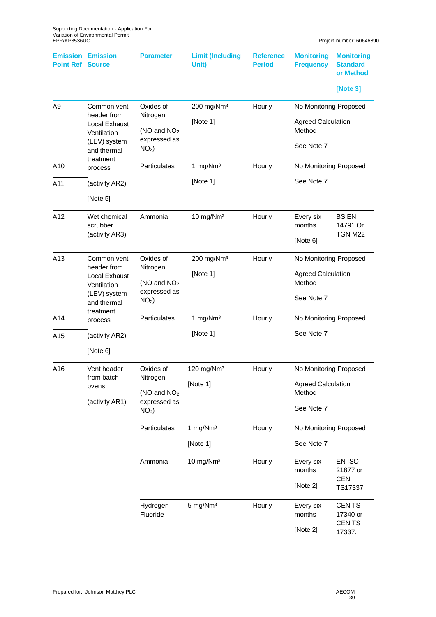| <b>Point Ref</b> | <b>Emission Emission</b><br><b>Source</b>                                                                     | <b>Parameter</b>                                                            | <b>Limit (Including</b><br>Unit)   | <b>Reference</b><br><b>Period</b> | <b>Monitoring</b><br><b>Frequency</b>                                       | <b>Monitoring</b><br><b>Standard</b><br>or Method<br>[Note 3] |
|------------------|---------------------------------------------------------------------------------------------------------------|-----------------------------------------------------------------------------|------------------------------------|-----------------------------------|-----------------------------------------------------------------------------|---------------------------------------------------------------|
| A <sub>9</sub>   | Common vent<br>header from<br><b>Local Exhaust</b><br>Ventilation<br>(LEV) system<br>and thermal<br>treatment | Oxides of<br>Nitrogen<br>(NO and $NO2$<br>expressed as<br>NO <sub>2</sub> ) | 200 mg/Nm <sup>3</sup><br>[Note 1] | Hourly                            | No Monitoring Proposed<br><b>Agreed Calculation</b><br>Method<br>See Note 7 |                                                               |
| A10<br>A11       | process<br>(activity AR2)<br>[Note 5]                                                                         | Particulates                                                                | 1 mg/Nm <sup>3</sup><br>[Note 1]   | Hourly                            | No Monitoring Proposed<br>See Note 7                                        |                                                               |
| A12              | Wet chemical<br>scrubber<br>(activity AR3)                                                                    | Ammonia                                                                     | 10 mg/Nm <sup>3</sup>              | Hourly                            | Every six<br>months<br>[Note 6]                                             | <b>BS EN</b><br>14791 Or<br>TGN M22                           |
| A13              | Common vent<br>header from<br><b>Local Exhaust</b><br>Ventilation<br>(LEV) system<br>and thermal              | Oxides of<br>Nitrogen<br>(NO and NO <sub>2</sub><br>expressed as<br>$NO2$ ) | 200 mg/Nm <sup>3</sup><br>[Note 1] | Hourly                            | No Monitoring Proposed<br><b>Agreed Calculation</b><br>Method<br>See Note 7 |                                                               |
| A14<br>A15       | treatment<br>process<br>(activity AR2)                                                                        | <b>Particulates</b>                                                         | 1 mg/Nm <sup>3</sup><br>[Note 1]   | Hourly                            | No Monitoring Proposed<br>See Note 7                                        |                                                               |
| A16              | [Note 6]<br>Vent header<br>from batch<br>ovens<br>(activity AR1)                                              | Oxides of<br>Nitrogen<br>(NO and NO <sub>2</sub><br>expressed as<br>$NO2$ ) | 120 mg/Nm <sup>3</sup><br>[Note 1] | Hourly                            | No Monitoring Proposed<br><b>Agreed Calculation</b><br>Method<br>See Note 7 |                                                               |
|                  |                                                                                                               | Particulates                                                                | 1 mg/Nm <sup>3</sup><br>[Note 1]   | Hourly                            | No Monitoring Proposed<br>See Note 7                                        |                                                               |
|                  |                                                                                                               | Ammonia                                                                     | 10 mg/Nm <sup>3</sup>              | Hourly                            | Every six<br>months<br>[Note 2]                                             | EN ISO<br>21877 or<br><b>CEN</b><br>TS17337                   |
|                  |                                                                                                               | Hydrogen<br>Fluoride                                                        | 5 mg/Nm <sup>3</sup>               | Hourly                            | Every six<br>months<br>[Note 2]                                             | <b>CENTS</b><br>17340 or<br>CEN TS<br>17337.                  |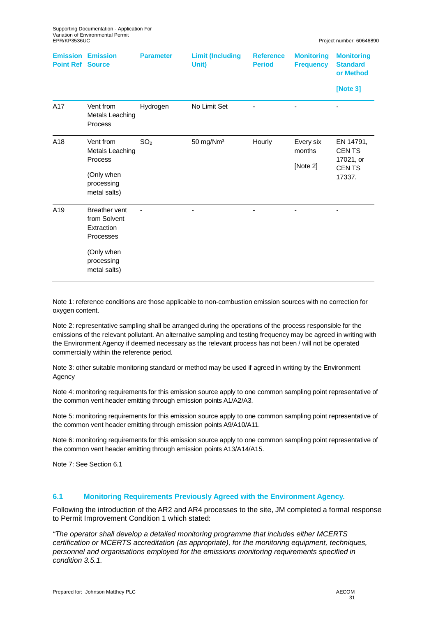| <b>Point Ref</b> | <b>Emission Emission</b><br><b>Source</b> | <b>Parameter</b> | <b>Limit (Including</b><br>Unit) | <b>Reference</b><br><b>Period</b> | <b>Monitoring</b><br><b>Frequency</b> | <b>Monitoring</b><br><b>Standard</b><br>or Method |
|------------------|-------------------------------------------|------------------|----------------------------------|-----------------------------------|---------------------------------------|---------------------------------------------------|
|                  |                                           |                  |                                  |                                   |                                       | [Note 3]                                          |
| A17              | Vent from<br>Metals Leaching<br>Process   | Hydrogen         | No Limit Set                     |                                   |                                       |                                                   |
| A18              | Vent from<br>Metals Leaching              | SO <sub>2</sub>  | 50 mg/Nm <sup>3</sup>            | Hourly                            | Every six<br>months                   | EN 14791,<br><b>CENTS</b>                         |
|                  | Process                                   |                  |                                  |                                   | [Note 2]                              | 17021, or<br><b>CENTS</b>                         |
|                  | (Only when                                |                  |                                  |                                   |                                       | 17337.                                            |
|                  | processing<br>metal salts)                |                  |                                  |                                   |                                       |                                                   |
| A19              | <b>Breather vent</b>                      |                  |                                  |                                   |                                       |                                                   |
|                  | from Solvent<br>Extraction                |                  |                                  |                                   |                                       |                                                   |
|                  | Processes                                 |                  |                                  |                                   |                                       |                                                   |
|                  | (Only when                                |                  |                                  |                                   |                                       |                                                   |
|                  | processing                                |                  |                                  |                                   |                                       |                                                   |
|                  | metal salts)                              |                  |                                  |                                   |                                       |                                                   |

Note 1: reference conditions are those applicable to non-combustion emission sources with no correction for oxygen content.

Note 2: representative sampling shall be arranged during the operations of the process responsible for the emissions of the relevant pollutant. An alternative sampling and testing frequency may be agreed in writing with the Environment Agency if deemed necessary as the relevant process has not been / will not be operated commercially within the reference period.

Note 3: other suitable monitoring standard or method may be used if agreed in writing by the Environment Agency

Note 4: monitoring requirements for this emission source apply to one common sampling point representative of the common vent header emitting through emission points A1/A2/A3.

Note 5: monitoring requirements for this emission source apply to one common sampling point representative of the common vent header emitting through emission points A9/A10/A11.

Note 6: monitoring requirements for this emission source apply to one common sampling point representative of the common vent header emitting through emission points A13/A14/A15.

Note 7: See Section 6.1

#### **6.1 Monitoring Requirements Previously Agreed with the Environment Agency.**

Following the introduction of the AR2 and AR4 processes to the site, JM completed a formal response to Permit Improvement Condition 1 which stated:

*"The operator shall develop a detailed monitoring programme that includes either MCERTS certification or MCERTS accreditation (as appropriate), for the monitoring equipment, techniques, personnel and organisations employed for the emissions monitoring requirements specified in condition 3.5.1.*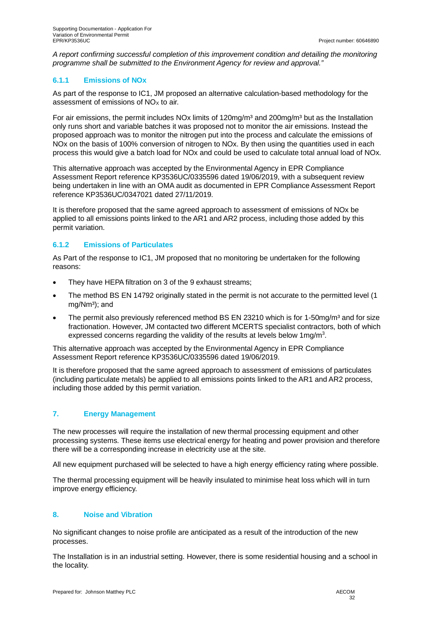*A report confirming successful completion of this improvement condition and detailing the monitoring programme shall be submitted to the Environment Agency for review and approval."*

## **6.1.1 Emissions of NOx**

As part of the response to IC1, JM proposed an alternative calculation-based methodology for the assessment of emissions of  $NOx$  to air.

For air emissions, the permit includes NOx limits of 120mg/m<sup>3</sup> and 200mg/m<sup>3</sup> but as the Installation only runs short and variable batches it was proposed not to monitor the air emissions. Instead the proposed approach was to monitor the nitrogen put into the process and calculate the emissions of NOx on the basis of 100% conversion of nitrogen to NOx. By then using the quantities used in each process this would give a batch load for NOx and could be used to calculate total annual load of NOx.

This alternative approach was accepted by the Environmental Agency in EPR Compliance Assessment Report reference KP3536UC/0335596 dated 19/06/2019, with a subsequent review being undertaken in line with an OMA audit as documented in EPR Compliance Assessment Report reference KP3536UC/0347021 dated 27/11/2019.

It is therefore proposed that the same agreed approach to assessment of emissions of NOx be applied to all emissions points linked to the AR1 and AR2 process, including those added by this permit variation.

## **6.1.2 Emissions of Particulates**

As Part of the response to IC1, JM proposed that no monitoring be undertaken for the following reasons:

- · They have HEPA filtration on 3 of the 9 exhaust streams;
- · The method BS EN 14792 originally stated in the permit is not accurate to the permitted level (1  $mg/Nm<sup>3</sup>$ ; and
- The permit also previously referenced method BS EN 23210 which is for 1-50mg/m<sup>3</sup> and for size fractionation. However, JM contacted two different MCERTS specialist contractors, both of which expressed concerns regarding the validity of the results at levels below  $1 \text{mg/m}^3$ .

This alternative approach was accepted by the Environmental Agency in EPR Compliance Assessment Report reference KP3536UC/0335596 dated 19/06/2019.

It is therefore proposed that the same agreed approach to assessment of emissions of particulates (including particulate metals) be applied to all emissions points linked to the AR1 and AR2 process, including those added by this permit variation.

## **7. Energy Management**

The new processes will require the installation of new thermal processing equipment and other processing systems. These items use electrical energy for heating and power provision and therefore there will be a corresponding increase in electricity use at the site.

All new equipment purchased will be selected to have a high energy efficiency rating where possible.

The thermal processing equipment will be heavily insulated to minimise heat loss which will in turn improve energy efficiency.

## **8. Noise and Vibration**

No significant changes to noise profile are anticipated as a result of the introduction of the new processes.

The Installation is in an industrial setting. However, there is some residential housing and a school in the locality.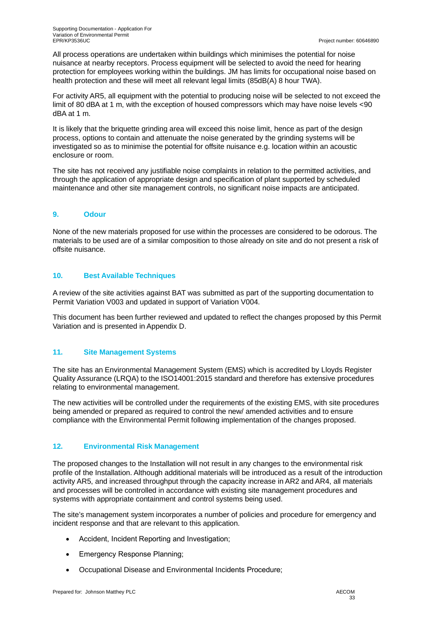All process operations are undertaken within buildings which minimises the potential for noise nuisance at nearby receptors. Process equipment will be selected to avoid the need for hearing protection for employees working within the buildings. JM has limits for occupational noise based on health protection and these will meet all relevant legal limits (85dB(A) 8 hour TWA).

For activity AR5, all equipment with the potential to producing noise will be selected to not exceed the limit of 80 dBA at 1 m, with the exception of housed compressors which may have noise levels <90 dBA at 1 m.

It is likely that the briquette grinding area will exceed this noise limit, hence as part of the design process, options to contain and attenuate the noise generated by the grinding systems will be investigated so as to minimise the potential for offsite nuisance e.g. location within an acoustic enclosure or room.

The site has not received any justifiable noise complaints in relation to the permitted activities, and through the application of appropriate design and specification of plant supported by scheduled maintenance and other site management controls, no significant noise impacts are anticipated.

#### **9. Odour**

None of the new materials proposed for use within the processes are considered to be odorous. The materials to be used are of a similar composition to those already on site and do not present a risk of offsite nuisance.

#### **10. Best Available Techniques**

A review of the site activities against BAT was submitted as part of the supporting documentation to Permit Variation V003 and updated in support of Variation V004.

This document has been further reviewed and updated to reflect the changes proposed by this Permit Variation and is presented in Appendix D.

#### **11. Site Management Systems**

The site has an Environmental Management System (EMS) which is accredited by Lloyds Register Quality Assurance (LRQA) to the ISO14001:2015 standard and therefore has extensive procedures relating to environmental management.

The new activities will be controlled under the requirements of the existing EMS, with site procedures being amended or prepared as required to control the new/ amended activities and to ensure compliance with the Environmental Permit following implementation of the changes proposed.

#### **12. Environmental Risk Management**

The proposed changes to the Installation will not result in any changes to the environmental risk profile of the Installation. Although additional materials will be introduced as a result of the introduction activity AR5, and increased throughput through the capacity increase in AR2 and AR4, all materials and processes will be controlled in accordance with existing site management procedures and systems with appropriate containment and control systems being used.

The site's management system incorporates a number of policies and procedure for emergency and incident response and that are relevant to this application.

- Accident, Incident Reporting and Investigation;
- Emergency Response Planning;
- · Occupational Disease and Environmental Incidents Procedure;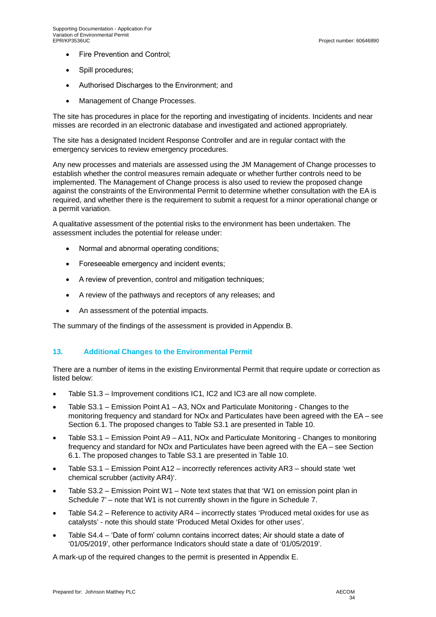- Fire Prevention and Control;
- · Spill procedures;
- · Authorised Discharges to the Environment; and
- · Management of Change Processes.

The site has procedures in place for the reporting and investigating of incidents. Incidents and near misses are recorded in an electronic database and investigated and actioned appropriately.

The site has a designated Incident Response Controller and are in regular contact with the emergency services to review emergency procedures.

Any new processes and materials are assessed using the JM Management of Change processes to establish whether the control measures remain adequate or whether further controls need to be implemented. The Management of Change process is also used to review the proposed change against the constraints of the Environmental Permit to determine whether consultation with the EA is required, and whether there is the requirement to submit a request for a minor operational change or a permit variation.

A qualitative assessment of the potential risks to the environment has been undertaken. The assessment includes the potential for release under:

- Normal and abnormal operating conditions;
- · Foreseeable emergency and incident events;
- · A review of prevention, control and mitigation techniques;
- · A review of the pathways and receptors of any releases; and
- · An assessment of the potential impacts.

The summary of the findings of the assessment is provided in Appendix B.

#### **13. Additional Changes to the Environmental Permit**

There are a number of items in the existing Environmental Permit that require update or correction as listed below:

- · Table S1.3 Improvement conditions IC1, IC2 and IC3 are all now complete.
- · Table S3.1 Emission Point A1 A3, NOx and Particulate Monitoring Changes to the monitoring frequency and standard for NOx and Particulates have been agreed with the EA – see Section 6.1. The proposed changes to Table S3.1 are presented in Table 10.
- · Table S3.1 Emission Point A9 A11, NOx and Particulate Monitoring Changes to monitoring frequency and standard for NOx and Particulates have been agreed with the EA – see Section 6.1. The proposed changes to Table S3.1 are presented in Table 10.
- Table S3.1 Emission Point A12 incorrectly references activity AR3 should state 'wet chemical scrubber (activity AR4)'.
- Table S3.2 Emission Point W1 Note text states that that 'W1 on emission point plan in Schedule 7' – note that W1 is not currently shown in the figure in Schedule 7.
- Table S4.2 Reference to activity AR4 incorrectly states 'Produced metal oxides for use as catalysts' - note this should state 'Produced Metal Oxides for other uses'.
- Table S4.4 'Date of form' column contains incorrect dates; Air should state a date of '01/05/2019', other performance Indicators should state a date of '01/05/2019'.

A mark-up of the required changes to the permit is presented in Appendix E.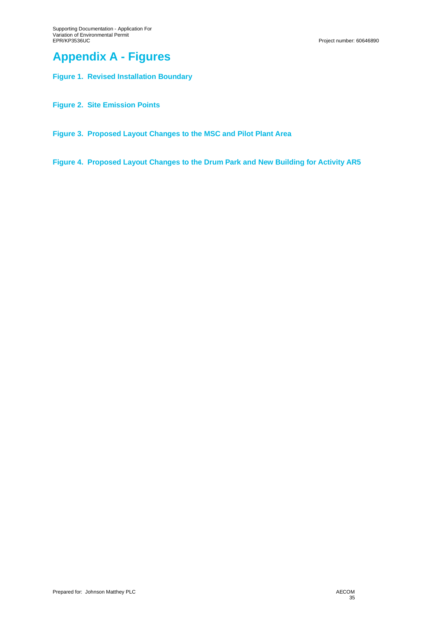## **Appendix A - Figures**

**Figure 1. Revised Installation Boundary**

**Figure 2. Site Emission Points**

**Figure 3. Proposed Layout Changes to the MSC and Pilot Plant Area**

**Figure 4. Proposed Layout Changes to the Drum Park and New Building for Activity AR5**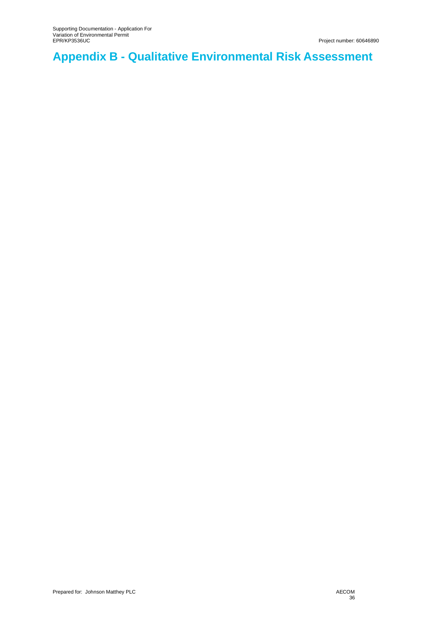# **Appendix B - Qualitative Environmental Risk Assessment**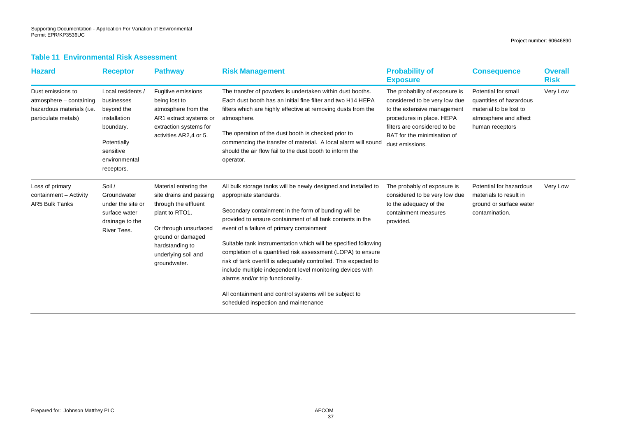### **Table 11 Environmental Risk Assessment**

| <b>Hazard</b>                                                                                    | <b>Receptor</b>                                                                                                                       | <b>Pathway</b>                                                                                                                                                                                     | <b>Risk Management</b>                                                                                                                                                                                                                                                                                                                                                                                                                                                                                                                                                                                                                                                 | <b>Probability of</b><br><b>Exposure</b>                                                                                                                                                                      | <b>Consequence</b>                                                                                                   | <b>Overall</b><br><b>Risk</b> |
|--------------------------------------------------------------------------------------------------|---------------------------------------------------------------------------------------------------------------------------------------|----------------------------------------------------------------------------------------------------------------------------------------------------------------------------------------------------|------------------------------------------------------------------------------------------------------------------------------------------------------------------------------------------------------------------------------------------------------------------------------------------------------------------------------------------------------------------------------------------------------------------------------------------------------------------------------------------------------------------------------------------------------------------------------------------------------------------------------------------------------------------------|---------------------------------------------------------------------------------------------------------------------------------------------------------------------------------------------------------------|----------------------------------------------------------------------------------------------------------------------|-------------------------------|
| Dust emissions to<br>atmosphere - containing<br>hazardous materials (i.e.<br>particulate metals) | Local residents /<br>businesses<br>beyond the<br>installation<br>boundary.<br>Potentially<br>sensitive<br>environmental<br>receptors. | Fugitive emissions<br>being lost to<br>atmosphere from the<br>AR1 extract systems or<br>extraction systems for<br>activities AR2,4 or 5.                                                           | The transfer of powders is undertaken within dust booths.<br>Each dust booth has an initial fine filter and two H14 HEPA<br>filters which are highly effective at removing dusts from the<br>atmosphere.<br>The operation of the dust booth is checked prior to<br>commencing the transfer of material. A local alarm will sound<br>should the air flow fail to the dust booth to inform the<br>operator.                                                                                                                                                                                                                                                              | The probability of exposure is<br>considered to be very low due<br>to the extensive management<br>procedures in place. HEPA<br>filters are considered to be<br>BAT for the minimisation of<br>dust emissions. | Potential for small<br>quantities of hazardous<br>material to be lost to<br>atmosphere and affect<br>human receptors | Very Low                      |
| Loss of primary<br>containment - Activity<br>AR5 Bulk Tanks                                      | Soil /<br>Groundwater<br>under the site or<br>surface water<br>drainage to the<br>River Tees.                                         | Material entering the<br>site drains and passing<br>through the effluent<br>plant to RTO1.<br>Or through unsurfaced<br>ground or damaged<br>hardstanding to<br>underlying soil and<br>groundwater. | All bulk storage tanks will be newly designed and installed to<br>appropriate standards.<br>Secondary containment in the form of bunding will be<br>provided to ensure containment of all tank contents in the<br>event of a failure of primary containment<br>Suitable tank instrumentation which will be specified following<br>completion of a quantified risk assessment (LOPA) to ensure<br>risk of tank overfill is adequately controlled. This expected to<br>include multiple independent level monitoring devices with<br>alarms and/or trip functionality.<br>All containment and control systems will be subject to<br>scheduled inspection and maintenance | The probably of exposure is<br>considered to be very low due<br>to the adequacy of the<br>containment measures<br>provided.                                                                                   | Potential for hazardous<br>materials to result in<br>ground or surface water<br>contamination.                       | Very Low                      |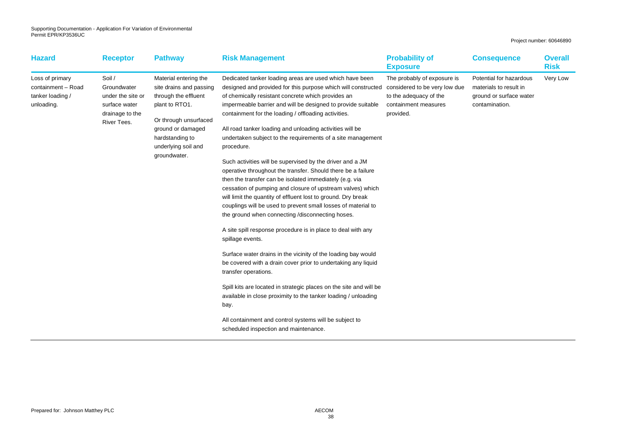| <b>Hazard</b>                                                           | <b>Receptor</b>                                                                               | <b>Pathway</b>                                                                                                                                                                                     | <b>Risk Management</b>                                                                                                                                                                                                                                                                                                                                                                                                                                                                                                                                                                                                                                                                                                                                                                                                                                                                                                                                                                                                                                                                                                                                                                                                                                                                                                                                                                                                     | <b>Probability of</b><br><b>Exposure</b>                                                   | <b>Consequence</b>                                                                             | <b>Overall</b><br><b>Risk</b> |
|-------------------------------------------------------------------------|-----------------------------------------------------------------------------------------------|----------------------------------------------------------------------------------------------------------------------------------------------------------------------------------------------------|----------------------------------------------------------------------------------------------------------------------------------------------------------------------------------------------------------------------------------------------------------------------------------------------------------------------------------------------------------------------------------------------------------------------------------------------------------------------------------------------------------------------------------------------------------------------------------------------------------------------------------------------------------------------------------------------------------------------------------------------------------------------------------------------------------------------------------------------------------------------------------------------------------------------------------------------------------------------------------------------------------------------------------------------------------------------------------------------------------------------------------------------------------------------------------------------------------------------------------------------------------------------------------------------------------------------------------------------------------------------------------------------------------------------------|--------------------------------------------------------------------------------------------|------------------------------------------------------------------------------------------------|-------------------------------|
| Loss of primary<br>containment - Road<br>tanker loading /<br>unloading. | Soil /<br>Groundwater<br>under the site or<br>surface water<br>drainage to the<br>River Tees. | Material entering the<br>site drains and passing<br>through the effluent<br>plant to RTO1.<br>Or through unsurfaced<br>ground or damaged<br>hardstanding to<br>underlying soil and<br>groundwater. | Dedicated tanker loading areas are used which have been<br>designed and provided for this purpose which will constructed considered to be very low due<br>of chemically resistant concrete which provides an<br>impermeable barrier and will be designed to provide suitable<br>containment for the loading / offloading activities.<br>All road tanker loading and unloading activities will be<br>undertaken subject to the requirements of a site management<br>procedure.<br>Such activities will be supervised by the driver and a JM<br>operative throughout the transfer. Should there be a failure<br>then the transfer can be isolated immediately (e.g. via<br>cessation of pumping and closure of upstream valves) which<br>will limit the quantity of effluent lost to ground. Dry break<br>couplings will be used to prevent small losses of material to<br>the ground when connecting /disconnecting hoses.<br>A site spill response procedure is in place to deal with any<br>spillage events.<br>Surface water drains in the vicinity of the loading bay would<br>be covered with a drain cover prior to undertaking any liquid<br>transfer operations.<br>Spill kits are located in strategic places on the site and will be<br>available in close proximity to the tanker loading / unloading<br>bay.<br>All containment and control systems will be subject to<br>scheduled inspection and maintenance. | The probably of exposure is<br>to the adequacy of the<br>containment measures<br>provided. | Potential for hazardous<br>materials to result in<br>ground or surface water<br>contamination. | Very Low                      |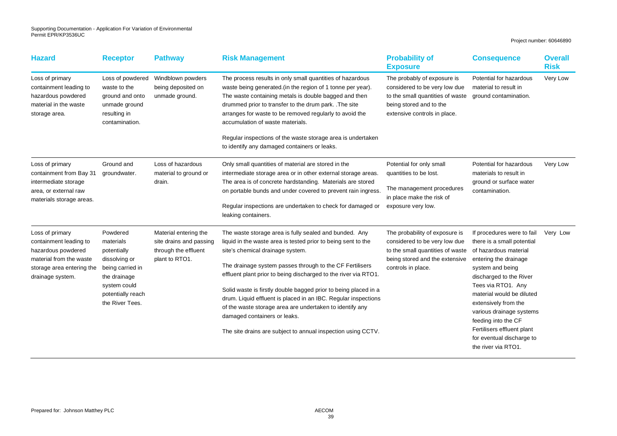| <b>Hazard</b>                                                                                                                               | <b>Receptor</b>                                                                                                                                   | <b>Pathway</b>                                                                             | <b>Risk Management</b>                                                                                                                                                                                                                                                                                                                                                                                                                                                                                                                                                                      | <b>Probability of</b><br><b>Exposure</b>                                                                                                                    | <b>Consequence</b>                                                                                                                                                                                                                                                                                                                                                        | <b>Overall</b><br><b>Risk</b> |
|---------------------------------------------------------------------------------------------------------------------------------------------|---------------------------------------------------------------------------------------------------------------------------------------------------|--------------------------------------------------------------------------------------------|---------------------------------------------------------------------------------------------------------------------------------------------------------------------------------------------------------------------------------------------------------------------------------------------------------------------------------------------------------------------------------------------------------------------------------------------------------------------------------------------------------------------------------------------------------------------------------------------|-------------------------------------------------------------------------------------------------------------------------------------------------------------|---------------------------------------------------------------------------------------------------------------------------------------------------------------------------------------------------------------------------------------------------------------------------------------------------------------------------------------------------------------------------|-------------------------------|
| Loss of primary<br>containment leading to<br>hazardous powdered<br>material in the waste<br>storage area.                                   | Loss of powdered<br>waste to the<br>ground and onto<br>unmade ground<br>resulting in<br>contamination.                                            | Windblown powders<br>being deposited on<br>unmade ground.                                  | The process results in only small quantities of hazardous<br>waste being generated (in the region of 1 tonne per year).<br>The waste containing metals is double bagged and then<br>drummed prior to transfer to the drum park. . The site<br>arranges for waste to be removed regularly to avoid the<br>accumulation of waste materials.<br>Regular inspections of the waste storage area is undertaken<br>to identify any damaged containers or leaks.                                                                                                                                    | The probably of exposure is<br>considered to be very low due<br>to the small quantities of waste<br>being stored and to the<br>extensive controls in place. | Potential for hazardous<br>material to result in<br>ground contamination.                                                                                                                                                                                                                                                                                                 | Very Low                      |
|                                                                                                                                             |                                                                                                                                                   |                                                                                            |                                                                                                                                                                                                                                                                                                                                                                                                                                                                                                                                                                                             |                                                                                                                                                             |                                                                                                                                                                                                                                                                                                                                                                           |                               |
| Loss of primary<br>containment from Bay 31<br>intermediate storage<br>area, or external raw<br>materials storage areas.                     | Ground and<br>groundwater.                                                                                                                        | Loss of hazardous<br>material to ground or<br>drain.                                       | Only small quantities of material are stored in the<br>intermediate storage area or in other external storage areas.<br>The area is of concrete hardstanding. Materials are stored<br>on portable bunds and under covered to prevent rain ingress.<br>Regular inspections are undertaken to check for damaged or<br>leaking containers.                                                                                                                                                                                                                                                     | Potential for only small<br>quantities to be lost.<br>The management procedures<br>in place make the risk of<br>exposure very low.                          | Potential for hazardous<br>materials to result in<br>ground or surface water<br>contamination.                                                                                                                                                                                                                                                                            | Very Low                      |
| Loss of primary<br>containment leading to<br>hazardous powdered<br>material from the waste<br>storage area entering the<br>drainage system. | Powdered<br>materials<br>potentially<br>dissolving or<br>being carried in<br>the drainage<br>system could<br>potentially reach<br>the River Tees. | Material entering the<br>site drains and passing<br>through the effluent<br>plant to RTO1. | The waste storage area is fully sealed and bunded. Any<br>liquid in the waste area is tested prior to being sent to the<br>site's chemical drainage system.<br>The drainage system passes through to the CF Fertilisers<br>effluent plant prior to being discharged to the river via RTO1.<br>Solid waste is firstly double bagged prior to being placed in a<br>drum. Liquid effluent is placed in an IBC. Regular inspections<br>of the waste storage area are undertaken to identify any<br>damaged containers or leaks.<br>The site drains are subject to annual inspection using CCTV. | The probability of exposure is<br>considered to be very low due<br>to the small quantities of waste<br>being stored and the extensive<br>controls in place. | If procedures were to fail<br>there is a small potential<br>of hazardous material<br>entering the drainage<br>system and being<br>discharged to the River<br>Tees via RTO1. Any<br>material would be diluted<br>extensively from the<br>various drainage systems<br>feeding into the CF<br>Fertilisers effluent plant<br>for eventual discharge to<br>the river via RTO1. | Very Low                      |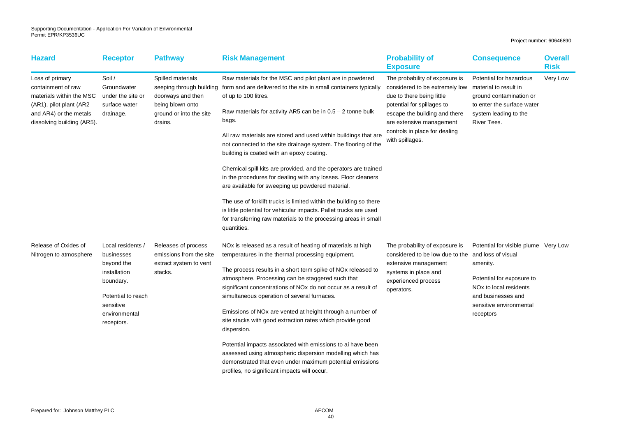| <b>Hazard</b>                                                                                                                                         | <b>Receptor</b>                                                                                                                            | <b>Pathway</b>                                                                                                               | <b>Risk Management</b>                                                                                                                                                                                                                                                                                                                                                                                                                                                                                                                         | <b>Probability of</b><br><b>Exposure</b>                                                                                                                                                                                                     | <b>Consequence</b>                                                                                                                                                                                      | <b>Overall</b><br><b>Risk</b> |
|-------------------------------------------------------------------------------------------------------------------------------------------------------|--------------------------------------------------------------------------------------------------------------------------------------------|------------------------------------------------------------------------------------------------------------------------------|------------------------------------------------------------------------------------------------------------------------------------------------------------------------------------------------------------------------------------------------------------------------------------------------------------------------------------------------------------------------------------------------------------------------------------------------------------------------------------------------------------------------------------------------|----------------------------------------------------------------------------------------------------------------------------------------------------------------------------------------------------------------------------------------------|---------------------------------------------------------------------------------------------------------------------------------------------------------------------------------------------------------|-------------------------------|
| Loss of primary<br>containment of raw<br>materials within the MSC<br>(AR1), pilot plant (AR2)<br>and AR4) or the metals<br>dissolving building (AR5). | Soil /<br>Groundwater<br>under the site or<br>surface water<br>drainage.                                                                   | Spilled materials<br>seeping through building<br>doorways and then<br>being blown onto<br>ground or into the site<br>drains. | Raw materials for the MSC and pilot plant are in powdered<br>form and are delivered to the site in small containers typically<br>of up to 100 litres.<br>Raw materials for activity AR5 can be in $0.5 - 2$ tonne bulk<br>bags.<br>All raw materials are stored and used within buildings that are<br>not connected to the site drainage system. The flooring of the<br>building is coated with an epoxy coating.                                                                                                                              | The probability of exposure is<br>considered to be extremely low<br>due to there being little<br>potential for spillages to<br>escape the building and there<br>are extensive management<br>controls in place for dealing<br>with spillages. | Potential for hazardous<br>material to result in<br>ground contamination or<br>to enter the surface water<br>system leading to the<br>River Tees.                                                       | Very Low                      |
|                                                                                                                                                       |                                                                                                                                            |                                                                                                                              | Chemical spill kits are provided, and the operators are trained<br>in the procedures for dealing with any losses. Floor cleaners<br>are available for sweeping up powdered material.                                                                                                                                                                                                                                                                                                                                                           |                                                                                                                                                                                                                                              |                                                                                                                                                                                                         |                               |
|                                                                                                                                                       |                                                                                                                                            |                                                                                                                              | The use of forklift trucks is limited within the building so there<br>is little potential for vehicular impacts. Pallet trucks are used<br>for transferring raw materials to the processing areas in small<br>quantities.                                                                                                                                                                                                                                                                                                                      |                                                                                                                                                                                                                                              |                                                                                                                                                                                                         |                               |
| Release of Oxides of<br>Nitrogen to atmosphere                                                                                                        | Local residents<br>businesses<br>beyond the<br>installation<br>boundary.<br>Potential to reach<br>sensitive<br>environmental<br>receptors. | Releases of process<br>emissions from the site<br>extract system to vent<br>stacks.                                          | NO <sub>x</sub> is released as a result of heating of materials at high<br>temperatures in the thermal processing equipment.<br>The process results in a short term spike of NO <sub>x</sub> released to<br>atmosphere. Processing can be staggered such that<br>significant concentrations of NO <sub>x</sub> do not occur as a result of<br>simultaneous operation of several furnaces.<br>Emissions of NO <sub>x</sub> are vented at height through a number of<br>site stacks with good extraction rates which provide good<br>dispersion. | The probability of exposure is<br>considered to be low due to the<br>extensive management<br>systems in place and<br>experienced process<br>operators.                                                                                       | Potential for visible plume Very Low<br>and loss of visual<br>amenity.<br>Potential for exposure to<br>NO <sub>x</sub> to local residents<br>and businesses and<br>sensitive environmental<br>receptors |                               |
|                                                                                                                                                       |                                                                                                                                            |                                                                                                                              | Potential impacts associated with emissions to ai have been<br>assessed using atmospheric dispersion modelling which has<br>demonstrated that even under maximum potential emissions<br>profiles, no significant impacts will occur.                                                                                                                                                                                                                                                                                                           |                                                                                                                                                                                                                                              |                                                                                                                                                                                                         |                               |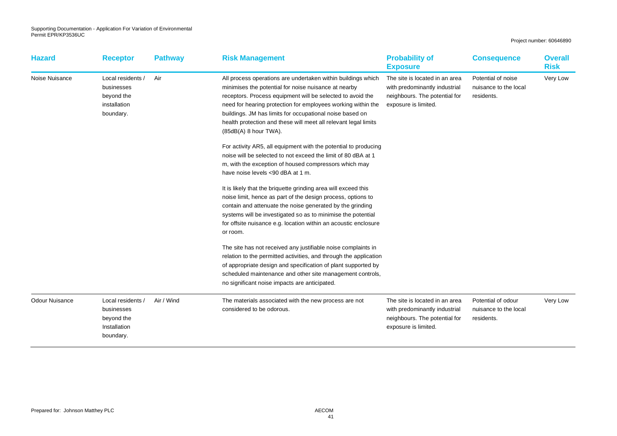| <b>Hazard</b>         | <b>Receptor</b>                                                            | <b>Pathway</b> | <b>Risk Management</b>                                                                                                                                                                                                                                                                                                                                                                                     | <b>Probability of</b><br><b>Exposure</b>                                                                                 | <b>Consequence</b>                                        | <b>Overall</b><br><b>Risk</b> |
|-----------------------|----------------------------------------------------------------------------|----------------|------------------------------------------------------------------------------------------------------------------------------------------------------------------------------------------------------------------------------------------------------------------------------------------------------------------------------------------------------------------------------------------------------------|--------------------------------------------------------------------------------------------------------------------------|-----------------------------------------------------------|-------------------------------|
| Noise Nuisance        | Local residents /<br>businesses<br>beyond the<br>installation<br>boundary. | Air            | All process operations are undertaken within buildings which<br>minimises the potential for noise nuisance at nearby<br>receptors. Process equipment will be selected to avoid the<br>need for hearing protection for employees working within the<br>buildings. JM has limits for occupational noise based on<br>health protection and these will meet all relevant legal limits<br>(85dB(A) 8 hour TWA). | The site is located in an area<br>with predominantly industrial<br>neighbours. The potential for<br>exposure is limited. | Potential of noise<br>nuisance to the local<br>residents. | Very Low                      |
|                       |                                                                            |                | For activity AR5, all equipment with the potential to producing<br>noise will be selected to not exceed the limit of 80 dBA at 1<br>m, with the exception of housed compressors which may<br>have noise levels <90 dBA at 1 m.                                                                                                                                                                             |                                                                                                                          |                                                           |                               |
|                       |                                                                            |                | It is likely that the briquette grinding area will exceed this<br>noise limit, hence as part of the design process, options to<br>contain and attenuate the noise generated by the grinding<br>systems will be investigated so as to minimise the potential<br>for offsite nuisance e.g. location within an acoustic enclosure<br>or room.                                                                 |                                                                                                                          |                                                           |                               |
|                       |                                                                            |                | The site has not received any justifiable noise complaints in<br>relation to the permitted activities, and through the application<br>of appropriate design and specification of plant supported by<br>scheduled maintenance and other site management controls,<br>no significant noise impacts are anticipated.                                                                                          |                                                                                                                          |                                                           |                               |
| <b>Odour Nuisance</b> | Local residents /<br>businesses<br>beyond the<br>Installation<br>boundary. | Air / Wind     | The materials associated with the new process are not<br>considered to be odorous.                                                                                                                                                                                                                                                                                                                         | The site is located in an area<br>with predominantly industrial<br>neighbours. The potential for<br>exposure is limited. | Potential of odour<br>nuisance to the local<br>residents. | Very Low                      |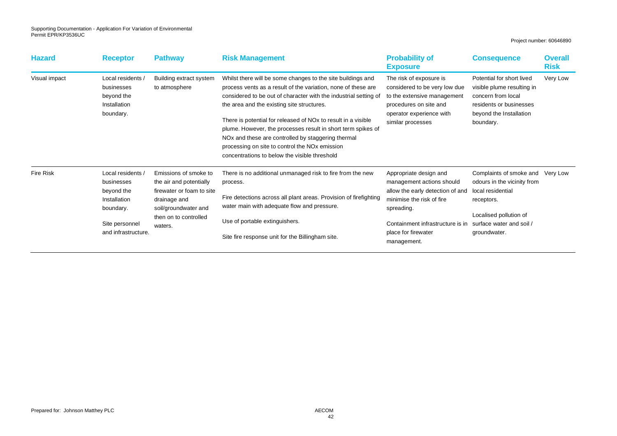| <b>Hazard</b>    | <b>Receptor</b>                                                                                                     | <b>Pathway</b>                                                                                                                                            | <b>Risk Management</b>                                                                                                                                                                                                                                                                                                                                                                                                                                                                                                                                                       | <b>Probability of</b><br><b>Exposure</b>                                                                                                                                                                     | <b>Consequence</b>                                                                                                                                              | <b>Overall</b><br><b>Risk</b> |
|------------------|---------------------------------------------------------------------------------------------------------------------|-----------------------------------------------------------------------------------------------------------------------------------------------------------|------------------------------------------------------------------------------------------------------------------------------------------------------------------------------------------------------------------------------------------------------------------------------------------------------------------------------------------------------------------------------------------------------------------------------------------------------------------------------------------------------------------------------------------------------------------------------|--------------------------------------------------------------------------------------------------------------------------------------------------------------------------------------------------------------|-----------------------------------------------------------------------------------------------------------------------------------------------------------------|-------------------------------|
| Visual impact    | Local residents<br>businesses<br>beyond the<br>Installation<br>boundary.                                            | Building extract system<br>to atmosphere                                                                                                                  | Whilst there will be some changes to the site buildings and<br>process vents as a result of the variation, none of these are<br>considered to be out of character with the industrial setting of<br>the area and the existing site structures.<br>There is potential for released of NO <sub>x</sub> to result in a visible<br>plume. However, the processes result in short term spikes of<br>NO <sub>x</sub> and these are controlled by staggering thermal<br>processing on site to control the NO <sub>x</sub> emission<br>concentrations to below the visible threshold | The risk of exposure is<br>considered to be very low due<br>to the extensive management<br>procedures on site and<br>operator experience with<br>similar processes                                           | Potential for short lived<br>visible plume resulting in<br>concern from local<br>residents or businesses<br>beyond the Installation<br>boundary.                | Very Low                      |
| <b>Fire Risk</b> | Local residents /<br>businesses<br>beyond the<br>Installation<br>boundary.<br>Site personnel<br>and infrastructure. | Emissions of smoke to<br>the air and potentially<br>firewater or foam to site<br>drainage and<br>soil/groundwater and<br>then on to controlled<br>waters. | There is no additional unmanaged risk to fire from the new<br>process.<br>Fire detections across all plant areas. Provision of firefighting<br>water main with adequate flow and pressure.<br>Use of portable extinguishers.<br>Site fire response unit for the Billingham site.                                                                                                                                                                                                                                                                                             | Appropriate design and<br>management actions should<br>allow the early detection of and<br>minimise the risk of fire<br>spreading.<br>Containment infrastructure is in<br>place for firewater<br>management. | Complaints of smoke and<br>odours in the vicinity from<br>local residential<br>receptors.<br>Localised pollution of<br>surface water and soil /<br>groundwater. | Very Low                      |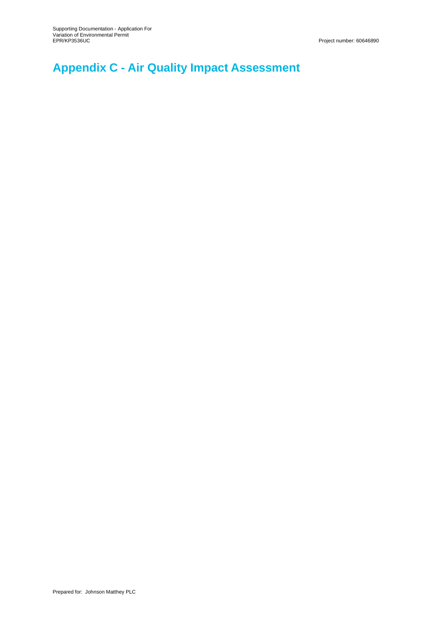# **Appendix C - Air Quality Impact Assessment**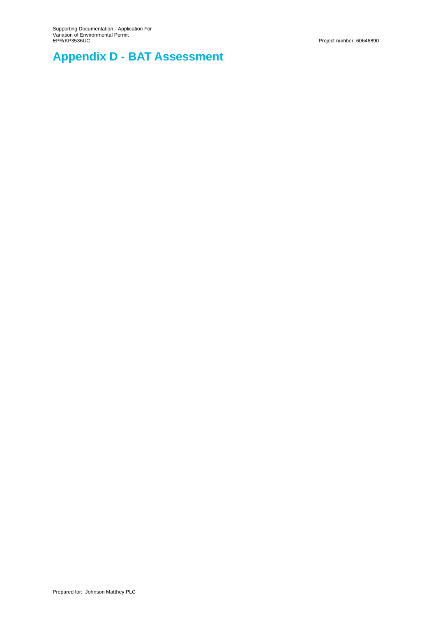# **Appendix D - BAT Assessment**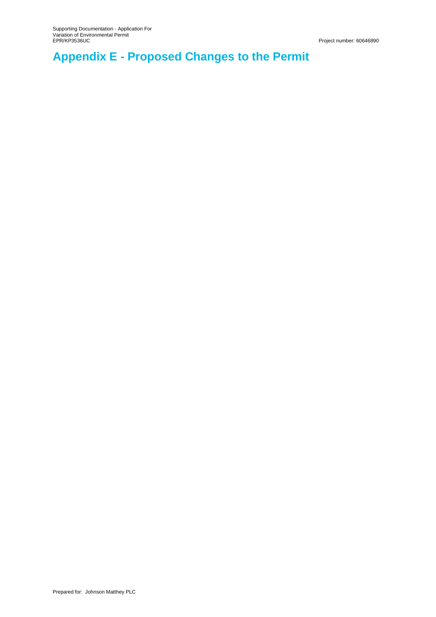# **Appendix E - Proposed Changes to the Permit**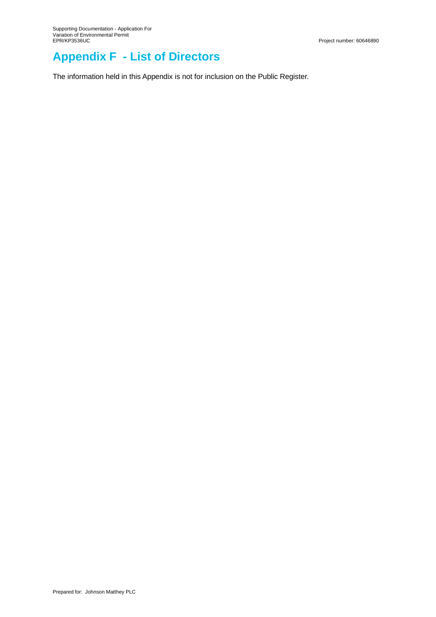## **Appendix F - List of Directors**

The information held in this Appendix is not for inclusion on the Public Register.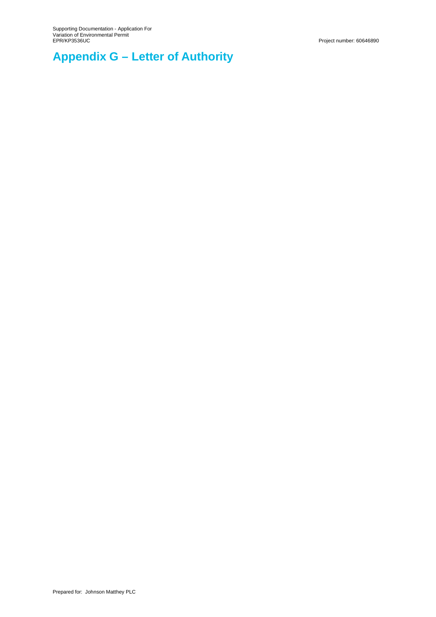# **Appendix G – Letter of Authority**